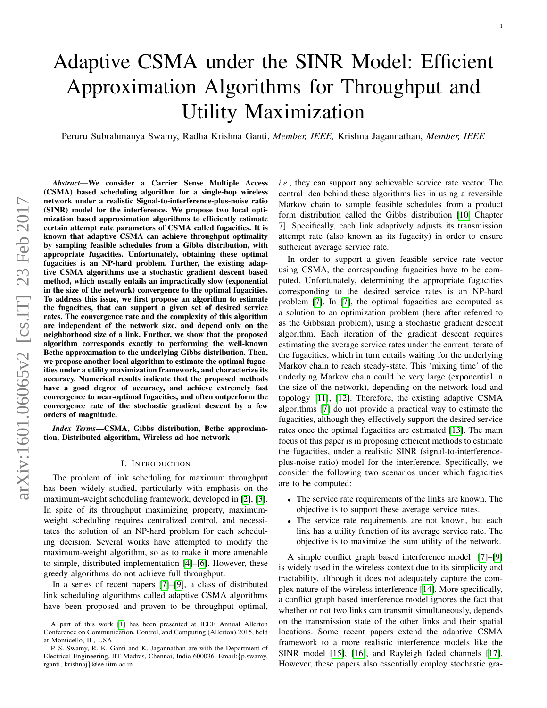# Adaptive CSMA under the SINR Model: Efficient Approximation Algorithms for Throughput and Utility Maximization

Peruru Subrahmanya Swamy, Radha Krishna Ganti, *Member, IEEE,* Krishna Jagannathan, *Member, IEEE*

*Abstract*—We consider a Carrier Sense Multiple Access (CSMA) based scheduling algorithm for a single-hop wireless network under a realistic Signal-to-interference-plus-noise ratio (SINR) model for the interference. We propose two local optimization based approximation algorithms to efficiently estimate certain attempt rate parameters of CSMA called fugacities. It is known that adaptive CSMA can achieve throughput optimality by sampling feasible schedules from a Gibbs distribution, with appropriate fugacities. Unfortunately, obtaining these optimal fugacities is an NP-hard problem. Further, the existing adaptive CSMA algorithms use a stochastic gradient descent based method, which usually entails an impractically slow (exponential in the size of the network) convergence to the optimal fugacities. To address this issue, we first propose an algorithm to estimate the fugacities, that can support a given set of desired service rates. The convergence rate and the complexity of this algorithm are independent of the network size, and depend only on the neighborhood size of a link. Further, we show that the proposed algorithm corresponds exactly to performing the well-known Bethe approximation to the underlying Gibbs distribution. Then, we propose another local algorithm to estimate the optimal fugacities under a utility maximization framework, and characterize its accuracy. Numerical results indicate that the proposed methods have a good degree of accuracy, and achieve extremely fast convergence to near-optimal fugacities, and often outperform the convergence rate of the stochastic gradient descent by a few orders of magnitude.

*Index Terms*—CSMA, Gibbs distribution, Bethe approximation, Distributed algorithm, Wireless ad hoc network

#### I. INTRODUCTION

The problem of link scheduling for maximum throughput has been widely studied, particularly with emphasis on the maximum-weight scheduling framework, developed in [\[2\]](#page-14-0), [\[3\]](#page-14-1). In spite of its throughput maximizing property, maximumweight scheduling requires centralized control, and necessitates the solution of an NP-hard problem for each scheduling decision. Several works have attempted to modify the maximum-weight algorithm, so as to make it more amenable to simple, distributed implementation [\[4\]](#page-14-2)–[\[6\]](#page-14-3). However, these greedy algorithms do not achieve full throughput.

In a series of recent papers [\[7\]](#page-14-4)–[\[9\]](#page-14-5), a class of distributed link scheduling algorithms called adaptive CSMA algorithms have been proposed and proven to be throughput optimal, *i.e.*, they can support any achievable service rate vector. The central idea behind these algorithms lies in using a reversible Markov chain to sample feasible schedules from a product form distribution called the Gibbs distribution [\[10,](#page-14-7) Chapter 7]. Specifically, each link adaptively adjusts its transmission attempt rate (also known as its fugacity) in order to ensure sufficient average service rate.

In order to support a given feasible service rate vector using CSMA, the corresponding fugacities have to be computed. Unfortunately, determining the appropriate fugacities corresponding to the desired service rates is an NP-hard problem [\[7\]](#page-14-4). In [\[7\]](#page-14-4), the optimal fugacities are computed as a solution to an optimization problem (here after referred to as the Gibbsian problem), using a stochastic gradient descent algorithm. Each iteration of the gradient descent requires estimating the average service rates under the current iterate of the fugacities, which in turn entails waiting for the underlying Markov chain to reach steady-state. This 'mixing time' of the underlying Markov chain could be very large (exponential in the size of the network), depending on the network load and topology [\[11\]](#page-14-8), [\[12\]](#page-14-9). Therefore, the existing adaptive CSMA algorithms [\[7\]](#page-14-4) do not provide a practical way to estimate the fugacities, although they effectively support the desired service rates once the optimal fugacities are estimated [\[13\]](#page-14-10). The main focus of this paper is in proposing efficient methods to estimate the fugacities, under a realistic SINR (signal-to-interferenceplus-noise ratio) model for the interference. Specifically, we consider the following two scenarios under which fugacities are to be computed:

- The service rate requirements of the links are known. The objective is to support these average service rates.
- The service rate requirements are not known, but each link has a utility function of its average service rate. The objective is to maximize the sum utility of the network.

A simple conflict graph based interference model [\[7\]](#page-14-4)–[\[9\]](#page-14-5) is widely used in the wireless context due to its simplicity and tractability, although it does not adequately capture the complex nature of the wireless interference [\[14\]](#page-14-11). More specifically, a conflict graph based interference model ignores the fact that whether or not two links can transmit simultaneously, depends on the transmission state of the other links and their spatial locations. Some recent papers extend the adaptive CSMA framework to a more realistic interference models like the SINR model [\[15\]](#page-14-12), [\[16\]](#page-14-13), and Rayleigh faded channels [\[17\]](#page-14-14). However, these papers also essentially employ stochastic gra-

A part of this work [\[1\]](#page-14-6) has been presented at IEEE Annual Allerton Conference on Communication, Control, and Computing (Allerton) 2015, held at Monticello, IL, USA

P. S. Swamy, R. K. Ganti and K. Jagannathan are with the Department of Electrical Engineering, IIT Madras, Chennai, India 600036. Email:{p.swamy, rganti, krishnaj}@ee.iitm.ac.in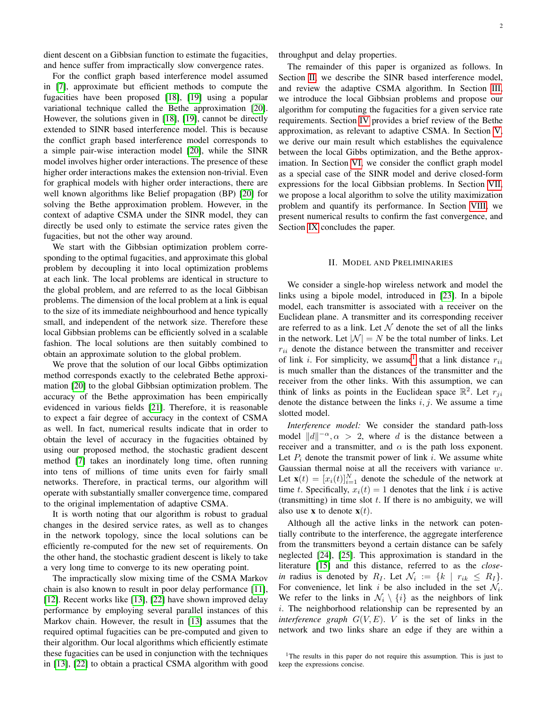dient descent on a Gibbsian function to estimate the fugacities, and hence suffer from impractically slow convergence rates.

For the conflict graph based interference model assumed in [\[7\]](#page-14-4), approximate but efficient methods to compute the fugacities have been proposed [\[18\]](#page-14-15), [\[19\]](#page-14-16) using a popular variational technique called the Bethe approximation [\[20\]](#page-14-17). However, the solutions given in [\[18\]](#page-14-15), [\[19\]](#page-14-16), cannot be directly extended to SINR based interference model. This is because the conflict graph based interference model corresponds to a simple pair-wise interaction model [\[20\]](#page-14-17), while the SINR model involves higher order interactions. The presence of these higher order interactions makes the extension non-trivial. Even for graphical models with higher order interactions, there are well known algorithms like Belief propagation (BP) [\[20\]](#page-14-17) for solving the Bethe approximation problem. However, in the context of adaptive CSMA under the SINR model, they can directly be used only to estimate the service rates given the fugacities, but not the other way around.

We start with the Gibbsian optimization problem corresponding to the optimal fugacities, and approximate this global problem by decoupling it into local optimization problems at each link. The local problems are identical in structure to the global problem, and are referred to as the local Gibbisan problems. The dimension of the local problem at a link is equal to the size of its immediate neighbourhood and hence typically small, and independent of the network size. Therefore these local Gibbsian problems can be efficiently solved in a scalable fashion. The local solutions are then suitably combined to obtain an approximate solution to the global problem.

We prove that the solution of our local Gibbs optimization method corresponds exactly to the celebrated Bethe approximation [\[20\]](#page-14-17) to the global Gibbsian optimization problem. The accuracy of the Bethe approximation has been empirically evidenced in various fields [\[21\]](#page-14-18). Therefore, it is reasonable to expect a fair degree of accuracy in the context of CSMA as well. In fact, numerical results indicate that in order to obtain the level of accuracy in the fugacities obtained by using our proposed method, the stochastic gradient descent method [\[7\]](#page-14-4) takes an inordinately long time, often running into tens of millions of time units even for fairly small networks. Therefore, in practical terms, our algorithm will operate with substantially smaller convergence time, compared to the original implementation of adaptive CSMA.

It is worth noting that our algorithm is robust to gradual changes in the desired service rates, as well as to changes in the network topology, since the local solutions can be efficiently re-computed for the new set of requirements. On the other hand, the stochastic gradient descent is likely to take a very long time to converge to its new operating point.

The impractically slow mixing time of the CSMA Markov chain is also known to result in poor delay performance [\[11\]](#page-14-8), [\[12\]](#page-14-9). Recent works like [\[13\]](#page-14-10), [\[22\]](#page-14-19) have shown improved delay performance by employing several parallel instances of this Markov chain. However, the result in [\[13\]](#page-14-10) assumes that the required optimal fugacities can be pre-computed and given to their algorithm. Our local algorithms which efficiently estimate these fugacities can be used in conjunction with the techniques in [\[13\]](#page-14-10), [\[22\]](#page-14-19) to obtain a practical CSMA algorithm with good

The remainder of this paper is organized as follows. In Section [II,](#page-1-0) we describe the SINR based interference model, and review the adaptive CSMA algorithm. In Section [III,](#page-3-0) we introduce the local Gibbsian problems and propose our algorithm for computing the fugacities for a given service rate requirements. Section [IV](#page-4-0) provides a brief review of the Bethe approximation, as relevant to adaptive CSMA. In Section [V,](#page-6-0) we derive our main result which establishes the equivalence between the local Gibbs optimization, and the Bethe approximation. In Section [VI,](#page-7-0) we consider the conflict graph model as a special case of the SINR model and derive closed-form expressions for the local Gibbsian problems. In Section [VII,](#page-8-0) we propose a local algorithm to solve the utility maximization problem and quantify its performance. In Section [VIII,](#page-9-0) we present numerical results to confirm the fast convergence, and Section [IX](#page-11-0) concludes the paper.

#### II. MODEL AND PRELIMINARIES

<span id="page-1-0"></span>We consider a single-hop wireless network and model the links using a bipole model, introduced in [\[23\]](#page-14-20). In a bipole model, each transmitter is associated with a receiver on the Euclidean plane. A transmitter and its corresponding receiver are referred to as a link. Let  $\mathcal N$  denote the set of all the links in the network. Let  $|\mathcal{N}| = N$  be the total number of links. Let  $r_{ii}$  denote the distance between the transmitter and receiver of link *i*. For simplicity, we assume<sup>[1](#page-1-1)</sup> that a link distance  $r_{ii}$ is much smaller than the distances of the transmitter and the receiver from the other links. With this assumption, we can think of links as points in the Euclidean space  $\mathbb{R}^2$ . Let  $r_{ji}$ denote the distance between the links  $i, j$ . We assume a time slotted model.

*Interference model:* We consider the standard path-loss model  $||d||^{-\alpha}, \alpha > 2$ , where d is the distance between a receiver and a transmitter, and  $\alpha$  is the path loss exponent. Let  $P_i$  denote the transmit power of link i. We assume white Gaussian thermal noise at all the receivers with variance w. Let  $\mathbf{x}(t) = [x_i(t)]_{i=1}^N$  denote the schedule of the network at time t. Specifically,  $x_i(t) = 1$  denotes that the link i is active (transmitting) in time slot  $t$ . If there is no ambiguity, we will also use **x** to denote  $\mathbf{x}(t)$ .

Although all the active links in the network can potentially contribute to the interference, the aggregate interference from the transmitters beyond a certain distance can be safely neglected [\[24\]](#page-14-21), [\[25\]](#page-14-22). This approximation is standard in the literature [\[15\]](#page-14-12) and this distance, referred to as the *closein* radius is denoted by  $R_I$ . Let  $\mathcal{N}_i := \{k \mid r_{ik} \leq R_I\}.$ For convenience, let link i be also included in the set  $\mathcal{N}_i$ . We refer to the links in  $\mathcal{N}_i \setminus \{i\}$  as the neighbors of link  $i$ . The neighborhood relationship can be represented by an *interference graph*  $G(V, E)$ . *V* is the set of links in the network and two links share an edge if they are within a

<span id="page-1-1"></span><sup>1</sup>The results in this paper do not require this assumption. This is just to keep the expressions concise.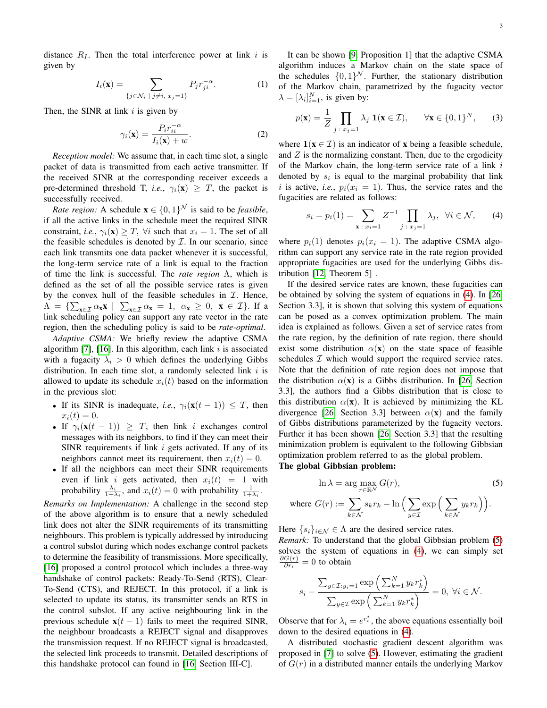distance  $R_I$ . Then the total interference power at link i is given by

$$
I_i(\mathbf{x}) = \sum_{\{j \in \mathcal{N}_i \; | \; j \neq i, \; x_j = 1\}} P_j r_{ji}^{-\alpha}.
$$
 (1)

Then, the SINR at link  $i$  is given by

$$
\gamma_i(\mathbf{x}) = \frac{P_i r_{ii}^{-\alpha}}{I_i(\mathbf{x}) + w}.
$$
 (2)

*Reception model:* We assume that, in each time slot, a single packet of data is transmitted from each active transmitter. If the received SINR at the corresponding receiver exceeds a pre-determined threshold T, *i.e.*,  $\gamma_i(\mathbf{x}) > T$ , the packet is successfully received.

*Rate region:* A schedule  $\mathbf{x} \in \{0, 1\}^{\mathcal{N}}$  is said to be *feasible*, if all the active links in the schedule meet the required SINR constraint, *i.e.*,  $\gamma_i(\mathbf{x}) \geq T$ ,  $\forall i$  such that  $x_i = 1$ . The set of all the feasible schedules is denoted by  $\mathcal I$ . In our scenario, since each link transmits one data packet whenever it is successful, the long-term service rate of a link is equal to the fraction of time the link is successful. The *rate region* Λ, which is defined as the set of all the possible service rates is given by the convex hull of the feasible schedules in  $I$ . Hence,  $\Lambda = \{ \sum_{\mathbf{x} \in \mathcal{I}} \alpha_{\mathbf{x}} \mathbf{x} \mid \sum_{\mathbf{x} \in \mathcal{I}} \alpha_{\mathbf{x}} = 1, \alpha_{\mathbf{x}} \geq 0, \mathbf{x} \in \mathcal{I} \}.$  If a link scheduling policy can support any rate vector in the rate region, then the scheduling policy is said to be *rate-optimal*.

*Adaptive CSMA:* We briefly review the adaptive CSMA algorithm [\[7\]](#page-14-4), [\[16\]](#page-14-13). In this algorithm, each link  $i$  is associated with a fugacity  $\lambda_i > 0$  which defines the underlying Gibbs distribution. In each time slot, a randomly selected link  $i$  is allowed to update its schedule  $x_i(t)$  based on the information in the previous slot:

- If its SINR is inadequate, *i.e.*,  $\gamma_i(\mathbf{x}(t-1)) \leq T$ , then  $x_i(t) = 0.$
- If  $\gamma_i(\mathbf{x}(t-1)) \geq T$ , then link i exchanges control messages with its neighbors, to find if they can meet their SINR requirements if link  $i$  gets activated. If any of its neighbors cannot meet its requirement, then  $x_i(t) = 0$ .
- If all the neighbors can meet their SINR requirements even if link i gets activated, then  $x_i(t) = 1$  with probability  $\frac{\lambda_i}{1+\lambda_i}$ , and  $x_i(t) = 0$  with probability  $\frac{1}{1+\lambda_i}$ .

*Remarks on Implementation:* A challenge in the second step of the above algorithm is to ensure that a newly scheduled link does not alter the SINR requirements of its transmitting neighbours. This problem is typically addressed by introducing a control subslot during which nodes exchange control packets to determine the feasibility of transmissions. More specifically, [\[16\]](#page-14-13) proposed a control protocol which includes a three-way handshake of control packets: Ready-To-Send (RTS), Clear-To-Send (CTS), and REJECT. In this protocol, if a link is selected to update its status, its transmitter sends an RTS in the control subslot. If any active neighbouring link in the previous schedule  $x(t - 1)$  fails to meet the required SINR, the neighbour broadcasts a REJECT signal and disapproves the transmission request. If no REJECT signal is broadcasted, the selected link proceeds to transmit. Detailed descriptions of this handshake protocol can found in [\[16,](#page-14-13) Section III-C].

<span id="page-2-2"></span>It can be shown [\[9,](#page-14-5) Proposition 1] that the adaptive CSMA algorithm induces a Markov chain on the state space of the schedules  $\{0,1\}^{\mathcal{N}}$ . Further, the stationary distribution of the Markov chain, parametrized by the fugacity vector  $\lambda = [\lambda_i]_{i=1}^N$ , is given by:

<span id="page-2-3"></span>
$$
p(\mathbf{x}) = \frac{1}{Z} \prod_{j \,:\, x_j = 1} \lambda_j \, \mathbf{1}(\mathbf{x} \in \mathcal{I}), \qquad \forall \mathbf{x} \in \{0, 1\}^N, \tag{3}
$$

<span id="page-2-4"></span>where  $\mathbf{1}(\mathbf{x} \in \mathcal{I})$  is an indicator of **x** being a feasible schedule, and  $Z$  is the normalizing constant. Then, due to the ergodicity of the Markov chain, the long-term service rate of a link  $i$ denoted by  $s_i$  is equal to the marginal probability that link i is active, *i.e.*,  $p_i(x_i = 1)$ . Thus, the service rates and the fugacities are related as follows:

<span id="page-2-0"></span>
$$
s_i = p_i(1) = \sum_{\mathbf{x} \,:\, x_i = 1} Z^{-1} \prod_{j \,:\, x_j = 1} \lambda_j, \ \forall i \in \mathcal{N}, \qquad (4)
$$

where  $p_i(1)$  denotes  $p_i(x_i = 1)$ . The adaptive CSMA algorithm can support any service rate in the rate region provided appropriate fugacities are used for the underlying Gibbs distribution [\[12,](#page-14-9) Theorem 5] .

If the desired service rates are known, these fugacities can be obtained by solving the system of equations in [\(4\)](#page-2-0). In [\[26,](#page-14-23) Section 3.3], it is shown that solving this system of equations can be posed as a convex optimization problem. The main idea is explained as follows. Given a set of service rates from the rate region, by the definition of rate region, there should exist some distribution  $\alpha(\mathbf{x})$  on the state space of feasible schedules  $I$  which would support the required service rates. Note that the definition of rate region does not impose that the distribution  $\alpha(\mathbf{x})$  is a Gibbs distribution. In [\[26,](#page-14-23) Section 3.3], the authors find a Gibbs distribution that is close to this distribution  $\alpha(\mathbf{x})$ . It is achieved by minimizing the KL divergence [\[26,](#page-14-23) Section 3.3] between  $\alpha(\mathbf{x})$  and the family of Gibbs distributions parameterized by the fugacity vectors. Further it has been shown [\[26,](#page-14-23) Section 3.3] that the resulting minimization problem is equivalent to the following Gibbsian optimization problem referred to as the global problem.

The global Gibbsian problem:

<span id="page-2-1"></span>
$$
\ln \lambda = \arg \max_{r \in \mathbb{R}^N} G(r),
$$
\n(5)

\nwhere  $G(r) := \sum_{k \in \mathcal{N}} s_k r_k - \ln \left( \sum_{y \in \mathcal{I}} \exp \left( \sum_{k \in \mathcal{N}} y_k r_k \right) \right).$ 

Here  $\{s_i\}_{i\in\mathcal{N}}\in\Lambda$  are the desired service rates.

*Remark:* To understand that the global Gibbsian problem [\(5\)](#page-2-1) solves the system of equations in [\(4\)](#page-2-0), we can simply set  $\partial G(r)$  $\frac{G(r)}{\partial r_i} = 0$  to obtain

$$
s_i - \frac{\sum_{y \in \mathcal{I}: y_i = 1} \exp\left(\sum_{k=1}^N y_k r_k^*\right)}{\sum_{y \in \mathcal{I}} \exp\left(\sum_{k=1}^N y_k r_k^*\right)} = 0, \ \forall i \in \mathcal{N}.
$$

Observe that for  $\lambda_i = e^{r_i^*}$ , the above equations essentially boil down to the desired equations in [\(4\)](#page-2-0).

A distributed stochastic gradient descent algorithm was proposed in [\[7\]](#page-14-4) to solve [\(5\)](#page-2-1). However, estimating the gradient of  $G(r)$  in a distributed manner entails the underlying Markov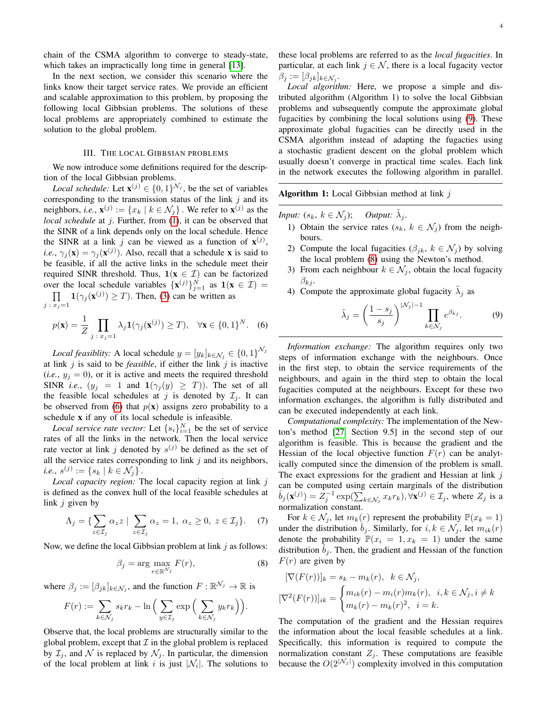chain of the CSMA algorithm to converge to steady-state, which takes an impractically long time in general [\[13\]](#page-14-10).

In the next section, we consider this scenario where the links know their target service rates. We provide an efficient and scalable approximation to this problem, by proposing the following local Gibbsian problems. The solutions of these local problems are appropriately combined to estimate the solution to the global problem.

## III. THE LOCAL GIBBSIAN PROBLEMS

<span id="page-3-0"></span>We now introduce some definitions required for the description of the local Gibbsian problems.

*Local schedule:* Let  $\mathbf{x}^{(j)} \in \{0, 1\}^{N_j}$ , be the set of variables corresponding to the transmission status of the link  $j$  and its neighbors, *i.e.*,  $\mathbf{x}^{(j)} := \{x_k \mid k \in \mathcal{N}_j\}$ . We refer to  $\mathbf{x}^{(j)}$  as the *local schedule* at j. Further, from [\(1\)](#page-2-2), it can be observed that the SINR of a link depends only on the local schedule. Hence the SINR at a link j can be viewed as a function of  $\mathbf{x}^{(j)}$ , *i.e.*,  $\gamma_j(\mathbf{x}) = \gamma_j(\mathbf{x}^{(j)})$ . Also, recall that a schedule **x** is said to be feasible, if all the active links in the schedule meet their required SINR threshold. Thus,  $1(x \in \mathcal{I})$  can be factorized over the local schedule variables  $\{x^{(j)}\}_{j=1}^N$  as  $1(x \in \mathcal{I}) =$  $\Pi$  $\prod_{j \colon x_j = 1} \mathbf{1}(\gamma_j(\mathbf{x}^{(j)}) \ge T)$ . Then, [\(3\)](#page-2-3) can be written as

$$
p(\mathbf{x}) = \frac{1}{Z} \prod_{j \,:\, x_j = 1} \lambda_j \mathbf{1}(\gamma_j(\mathbf{x}^{(j)}) \ge T), \quad \forall \mathbf{x} \in \{0, 1\}^N. \quad (6)
$$

*Local feasiblity:* A local schedule  $y = [y_k]_{k \in \mathcal{N}_j} \in \{0, 1\}^{\mathcal{N}_j}$ at link  $j$  is said to be *feasible*, if either the link  $j$  is inactive  $(i.e., y_j = 0)$ , or it is active and meets the required threshold SINR *i.e.*,  $(y_j = 1$  and  $1(\gamma_j(y) \geq T)$ ). The set of all the feasible local schedules at j is denoted by  $\mathcal{I}_j$ . It can be observed from [\(6\)](#page-3-1) that  $p(x)$  assigns zero probability to a schedule x if any of its local schedule is infeasible.

*Local service rate vector:* Let  $\{s_i\}_{i=1}^N$  be the set of service rates of all the links in the network. Then the local service rate vector at link j denoted by  $s^{(j)}$  be defined as the set of all the service rates corresponding to link  $j$  and its neighbors,  $i.e., s^{(j)} := \{s_k \mid k \in \mathcal{N}_j\}$  .

*Local capacity region:* The local capacity region at link j is defined as the convex hull of the local feasible schedules at link  $j$  given by

$$
\Lambda_j = \{ \sum_{z \in \mathcal{I}_j} \alpha_z z \mid \sum_{z \in \mathcal{I}_j} \alpha_z = 1, \ \alpha_z \ge 0, \ z \in \mathcal{I}_j \}. \tag{7}
$$

Now, we define the local Gibbsian problem at link  $j$  as follows:

$$
\beta_j = \arg \max_{r \in \mathbb{R}^{N_j}} F(r), \tag{8}
$$

where  $\beta_j := [\beta_{jk}]_{k \in \mathcal{N}_j}$ , and the function  $F : \mathbb{R}^{\mathcal{N}_j} \to \mathbb{R}$  is

$$
F(r) := \sum_{k \in \mathcal{N}_j} s_k r_k - \ln \Big( \sum_{y \in \mathcal{I}_j} \exp \Big( \sum_{k \in \mathcal{N}_j} y_k r_k \Big) \Big).
$$

Observe that, the local problems are structurally similar to the global problem, except that  $\mathcal I$  in the global problem is replaced by  $\mathcal{I}_j$ , and  $\mathcal N$  is replaced by  $\mathcal N_j$ . In particular, the dimension of the local problem at link i is just  $|\mathcal{N}_i|$ . The solutions to these local problems are referred to as the *local fugacities*. In particular, at each link  $j \in \mathcal{N}$ , there is a local fugacity vector  $\beta_j := [\beta_{jk}]_{k \in \mathcal{N}_j}.$ 

*Local algorithm:* Here, we propose a simple and distributed algorithm (Algorithm 1) to solve the local Gibbsian problems and subsequently compute the approximate global fugacities by combining the local solutions using [\(9\)](#page-3-2). These approximate global fugacities can be directly used in the CSMA algorithm instead of adapting the fugacties using a stochastic gradient descent on the global problem which usually doesn't converge in practical time scales. Each link in the network executes the following algorithm in parallel.

**Algorithm 1:** Local Gibbsian method at link  $j$ 

*Input:*  $(s_k, k \in \mathcal{N}_j)$ ; *Output:*  $\tilde{\lambda}_j$ .

- 1) Obtain the service rates  $(s_k, k \in \mathcal{N}_i)$  from the neighbours.
- 2) Compute the local fugacities ( $\beta_{jk}$ ,  $k \in \mathcal{N}_j$ ) by solving the local problem [\(8\)](#page-3-3) using the Newton's method.
- 3) From each neighbour  $k \in \mathcal{N}_j$ , obtain the local fugacity  $\beta_{kj}$ .
- 4) Compute the approximate global fugacity  $\tilde{\lambda}_j$  as

<span id="page-3-2"></span>
$$
\tilde{\lambda}_j = \left(\frac{1 - s_j}{s_j}\right)^{|\mathcal{N}_j| - 1} \prod_{k \in \mathcal{N}_j} e^{\beta_{kj}}.
$$
 (9)

<span id="page-3-1"></span>*Information exchange:* The algorithm requires only two steps of information exchange with the neighbours. Once in the first step, to obtain the service requirements of the neighbours, and again in the third step to obtain the local fugacities computed at the neighbours. Except for these two information exchanges, the algorithm is fully distributed and can be executed independently at each link.

*Computational complexity:* The implementation of the Newton's method [\[27,](#page-14-24) Section 9.5] in the second step of our algorithm is feasible. This is because the gradient and the Hessian of the local objective function  $F(r)$  can be analytically computed since the dimension of the problem is small. The exact expressions for the gradient and Hessian at link  $j$ can be computed using certain marginals of the distribution  $\hat{b}_j(\mathbf{x}^{(j)}) = \hat{Z}_j^{-1} \exp(\sum_{k \in \mathcal{N}_j} x_k r_k), \forall \mathbf{x}^{(j)} \in \mathcal{I}_j$ , where  $Z_j$  is a normalization constant.

<span id="page-3-4"></span>For  $k \in \mathcal{N}_j$ , let  $m_k(r)$  represent the probability  $\mathbb{P}(x_k = 1)$ under the distribution  $b_j$ . Similarly, for  $i, k \in \mathcal{N}_j$ , let  $m_{ik}(r)$ denote the probability  $\mathbb{P}(x_i = 1, x_k = 1)$  under the same distribution  $b_j$ . Then, the gradient and Hessian of the function  $F(r)$  are given by

<span id="page-3-3"></span>
$$
[\nabla(F(r))]_k = s_k - m_k(r), \quad k \in \mathcal{N}_j,
$$
  

$$
[\nabla^2(F(r))]_{ik} = \begin{cases} m_{ik}(r) - m_i(r)m_k(r), \quad i, k \in \mathcal{N}_j, i \neq k\\ m_k(r) - m_k(r)^2, \quad i = k. \end{cases}
$$

The computation of the gradient and the Hessian requires the information about the local feasible schedules at a link. Specifically, this information is required to compute the normalization constant  $Z_j$ . These computations are feasible because the  $O(2^{|{\cal N}_j|})$  complexity involved in this computation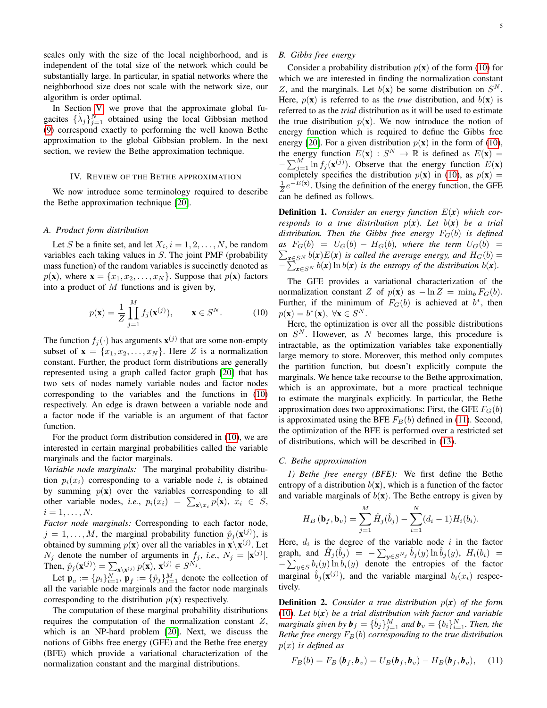scales only with the size of the local neighborhood, and is independent of the total size of the network which could be substantially large. In particular, in spatial networks where the neighborhood size does not scale with the network size, our algorithm is order optimal.

In Section [V,](#page-6-0) we prove that the approximate global fugacites  $\{\tilde{\lambda}_j\}_{j=1}^N$  obtained using the local Gibbsian method [\(9\)](#page-3-2) correspond exactly to performing the well known Bethe approximation to the global Gibbsian problem. In the next section, we review the Bethe approximation technique.

# IV. REVIEW OF THE BETHE APPROXIMATION

<span id="page-4-0"></span>We now introduce some terminology required to describe the Bethe approximation technique [\[20\]](#page-14-17).

#### *A. Product form distribution*

Let S be a finite set, and let  $X_i$ ,  $i = 1, 2, ..., N$ , be random variables each taking values in  $S$ . The joint PMF (probability mass function) of the random variables is succinctly denoted as  $p(\mathbf{x})$ , where  $\mathbf{x} = \{x_1, x_2, \dots, x_N\}$ . Suppose that  $p(\mathbf{x})$  factors into a product of  $M$  functions and is given by,

$$
p(\mathbf{x}) = \frac{1}{Z} \prod_{j=1}^{M} f_j(\mathbf{x}^{(j)}), \qquad \mathbf{x} \in S^N.
$$
 (10)

The function  $f_j(\cdot)$  has arguments  $\mathbf{x}^{(j)}$  that are some non-empty subset of  $\mathbf{x} = \{x_1, x_2, \dots, x_N\}$ . Here Z is a normalization constant. Further, the product form distributions are generally represented using a graph called factor graph [\[20\]](#page-14-17) that has two sets of nodes namely variable nodes and factor nodes corresponding to the variables and the functions in [\(10\)](#page-4-1) respectively. An edge is drawn between a variable node and a factor node if the variable is an argument of that factor function.

For the product form distribution considered in [\(10\)](#page-4-1), we are interested in certain marginal probabilities called the variable marginals and the factor marginals.

*Variable node marginals:* The marginal probability distribution  $p_i(x_i)$  corresponding to a variable node i, is obtained by summing  $p(x)$  over the variables corresponding to all other variable nodes, *i.e.*,  $p_i(x_i) = \sum_{\mathbf{x}\setminus x_i} p(\mathbf{x}), x_i \in S$ ,  $i=1,\ldots,N$ .

*Factor node marginals:* Corresponding to each factor node,  $j = 1, \dots, M$ , the marginal probability function  $\hat{p}_j(\mathbf{x}^{(j)})$ , is obtained by summing  $p(\mathbf{x})$  over all the variables in  $\mathbf{x} \setminus \mathbf{x}^{(j)}$ . Let  $N_j$  denote the number of arguments in  $f_j$ , *i.e.*,  $N_j = |\mathbf{x}^{(j)}|$ . Then,  $\hat{p}_j(\mathbf{x}^{(j)}) = \sum_{\mathbf{x} \setminus \mathbf{x}^{(j)}} p(\mathbf{x}), \mathbf{x}^{(j)} \in S^{N_j}.$ 

Let  $\mathbf{p}_v := \{p_i\}_{i=1}^N$ ,  $\mathbf{p}_f := \{\hat{p}_j\}_{j=1}^M$  denote the collection of all the variable node marginals and the factor node marginals corresponding to the distribution  $p(\mathbf{x})$  respectively.

The computation of these marginal probability distributions requires the computation of the normalization constant  $Z$ , which is an NP-hard problem [\[20\]](#page-14-17). Next, we discuss the notions of Gibbs free energy (GFE) and the Bethe free energy (BFE) which provide a variational characterization of the normalization constant and the marginal distributions.

# *B. Gibbs free energy*

Consider a probability distribution  $p(x)$  of the form [\(10\)](#page-4-1) for which we are interested in finding the normalization constant Z, and the marginals. Let  $b(\mathbf{x})$  be some distribution on  $S<sup>N</sup>$ . Here,  $p(\mathbf{x})$  is referred to as the *true* distribution, and  $b(\mathbf{x})$  is referred to as the *trial* distribution as it will be used to estimate the true distribution  $p(x)$ . We now introduce the notion of energy function which is required to define the Gibbs free energy [\[20\]](#page-14-17). For a given distribution  $p(\mathbf{x})$  in the form of [\(10\)](#page-4-1), the energy function  $E(\mathbf{x}) : S^N \to \mathbb{R}$  is defined as  $E(\mathbf{x}) =$  $-\sum_{j=1}^{M} \ln f_j(\mathbf{x}^{(j)})$ . Observe that the energy function  $E(\mathbf{x})$ completely specifies the distribution  $p(x)$  in [\(10\)](#page-4-1), as  $p(x) =$  $\frac{1}{Z}e^{-E(x)}$ . Using the definition of the energy function, the GFE can be defined as follows.

Definition 1. *Consider an energy function* E(*x*) *which corresponds to a true distribution*  $p(x)$ *. Let*  $b(x)$  *be a trial distribution. Then the Gibbs free energy* FG(b) *is defined*  $as \tF_G(b) = U_G(b) - H_G(b)$ , where the term  $U_G(b) =$  $\sum_{\mathbf{x} \in S^N} b(\mathbf{x}) E(\mathbf{x})$  *is called the average energy, and*  $H_G(b) =$  $-\sum_{\mathbf{x}\in S^N} b(\mathbf{x}) \ln b(\mathbf{x})$  *is the entropy of the distribution*  $b(\mathbf{x})$ *.* 

The GFE provides a variational characterization of the normalization constant Z of  $p(x)$  as  $-\ln Z = \min_b F_G(b)$ . Further, if the minimum of  $F_G(b)$  is achieved at  $b^*$ , then  $p(\mathbf{x}) = b^*(\mathbf{x}), \ \forall \mathbf{x} \in S^N.$ 

<span id="page-4-1"></span>Here, the optimization is over all the possible distributions on  $S<sup>N</sup>$ . However, as N becomes large, this procedure is intractable, as the optimization variables take exponentially large memory to store. Moreover, this method only computes the partition function, but doesn't explicitly compute the marginals. We hence take recourse to the Bethe approximation, which is an approximate, but a more practical technique to estimate the marginals explicitly. In particular, the Bethe approximation does two approximations: First, the GFE  $F_G(b)$ is approximated using the BFE  $F_B(b)$  defined in [\(11\)](#page-4-2). Second, the optimization of the BFE is performed over a restricted set of distributions, which will be described in [\(13\)](#page-5-0).

## *C. Bethe approximation*

*1) Bethe free energy (BFE):* We first define the Bethe entropy of a distribution  $b(x)$ , which is a function of the factor and variable marginals of  $b(x)$ . The Bethe entropy is given by

$$
H_B(\mathbf{b}_f, \mathbf{b}_v) = \sum_{j=1}^M \hat{H}_j(\hat{b}_j) - \sum_{i=1}^N (d_i - 1) H_i(b_i).
$$

Here,  $d_i$  is the degree of the variable node i in the factor graph, and  $\hat{H}_j(\hat{b}_j) = -\sum_{y \in S^{N_j}} \hat{b}_j(y) \ln \hat{b}_j(y)$ ,  $H_i(b_i) =$  $-\sum_{y\in S} b_i(y) \ln b_i(y)$  denote the entropies of the factor marginal  $\hat{b}_j(\mathbf{x}^{(j)})$ , and the variable marginal  $b_i(x_i)$  respectively.

**Definition 2.** *Consider a true distribution*  $p(x)$  *of the form* [\(10\)](#page-4-1)*. Let* b(*x*) *be a trial distribution with factor and variable marginals given by*  $\boldsymbol{b}_f = \{\hat{b}_j\}_{j=1}^M$  and  $\boldsymbol{b}_v = \{b_i\}_{i=1}^N$ . Then, the *Bethe free energy*  $F_B(b)$  *corresponding to the true distribution* p(x) *is defined as*

<span id="page-4-2"></span>
$$
F_B(b) = F_B(b_f, b_v) = U_B(b_f, b_v) - H_B(b_f, b_v), \quad (11)
$$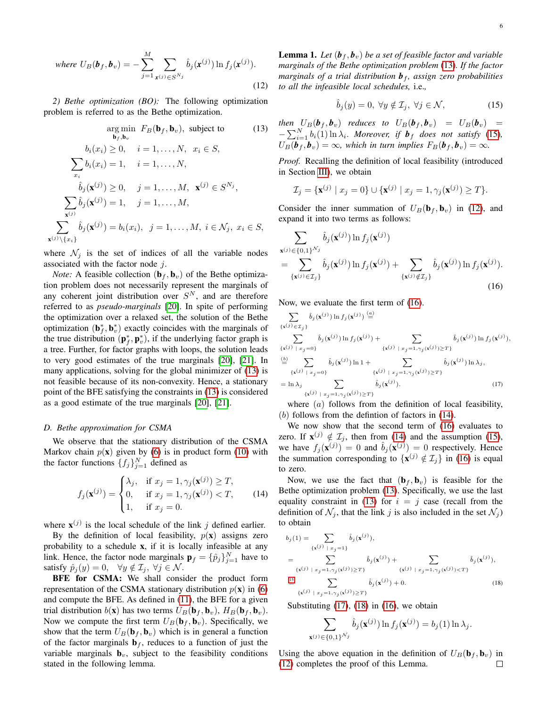where 
$$
U_B(\mathbf{b}_f, \mathbf{b}_v) = -\sum_{j=1}^M \sum_{\mathbf{x}^{(j)} \in S^{N_j}} \hat{b}_j(\mathbf{x}^{(j)}) \ln f_j(\mathbf{x}^{(j)}).
$$
 (12)

*2) Bethe optimization (BO):* The following optimization problem is referred to as the Bethe optimization.

$$
\arg\min_{\mathbf{b}_f, \mathbf{b}_v} F_B(\mathbf{b}_f, \mathbf{b}_v), \text{ subject to} \tag{13}
$$
\n
$$
b_i(x_i) \ge 0, \quad i = 1, \dots, N, \quad x_i \in S,
$$
\n
$$
\sum_{x_i} b_i(x_i) = 1, \quad i = 1, \dots, N,
$$
\n
$$
\hat{b}_j(\mathbf{x}^{(j)}) \ge 0, \quad j = 1, \dots, M, \quad \mathbf{x}^{(j)} \in S^{N_j},
$$
\n
$$
\sum_{\mathbf{x}^{(j)}} \hat{b}_j(\mathbf{x}^{(j)}) = 1, \quad j = 1, \dots, M,
$$
\n
$$
\sum_{\mathbf{x}^{(j)} \setminus \{x_i\}} \hat{b}_j(\mathbf{x}^{(j)}) = b_i(x_i), \quad j = 1, \dots, M, \quad i \in \mathcal{N}_j, \quad x_i \in S,
$$

where  $\mathcal{N}_j$  is the set of indices of all the variable nodes associated with the factor node  $i$ .

*Note:* A feasible collection  $(\mathbf{b}_f, \mathbf{b}_v)$  of the Bethe optimization problem does not necessarily represent the marginals of any coherent joint distribution over  $S<sup>N</sup>$ , and are therefore referred to as *pseudo-marginals* [\[20\]](#page-14-17). In spite of performing the optimization over a relaxed set, the solution of the Bethe optimization  $(\mathbf{b}_{f}^{*}, \mathbf{b}_{v}^{*})$  exactly coincides with the marginals of the true distribution  $(\mathbf{p}_f^*, \mathbf{p}_v^*)$ , if the underlying factor graph is a tree. Further, for factor graphs with loops, the solution leads to very good estimates of the true marginals [\[20\]](#page-14-17), [\[21\]](#page-14-18). In many applications, solving for the global minimizer of [\(13\)](#page-5-0) is not feasible because of its non-convexity. Hence, a stationary point of the BFE satisfying the constraints in [\(13\)](#page-5-0) is considered as a good estimate of the true marginals [\[20\]](#page-14-17), [\[21\]](#page-14-18).

## *D. Bethe approximation for CSMA*

We observe that the stationary distribution of the CSMA Markov chain  $p(x)$  given by [\(6\)](#page-3-1) is in product form [\(10\)](#page-4-1) with the factor functions  $\{f_j\}_{j=1}^N$  defined as

$$
f_j(\mathbf{x}^{(j)}) = \begin{cases} \lambda_j, & \text{if } x_j = 1, \gamma_j(\mathbf{x}^{(j)}) \ge T, \\ 0, & \text{if } x_j = 1, \gamma_j(\mathbf{x}^{(j)}) < T, \\ 1, & \text{if } x_j = 0. \end{cases} \tag{14}
$$

where  $\mathbf{x}^{(j)}$  is the local schedule of the link j defined earlier.

By the definition of local feasibility,  $p(\mathbf{x})$  assigns zero probability to a schedule x, if it is locally infeasible at any link. Hence, the factor node marginals  $\mathbf{p}_f = {\{\hat{p}_j\}}_{j=1}^N$  have to satisfy  $\hat{p}_j(y) = 0$ ,  $\forall y \notin \mathcal{I}_j$ ,  $\forall j \in \mathcal{N}$ .

BFE for CSMA: We shall consider the product form representation of the CSMA stationary distribution  $p(\mathbf{x})$  in [\(6\)](#page-3-1) and compute the BFE. As defined in [\(11\)](#page-4-2), the BFE for a given trial distribution  $b(\mathbf{x})$  has two terms  $U_B(\mathbf{b}_f, \mathbf{b}_v)$ ,  $H_B(\mathbf{b}_f, \mathbf{b}_v)$ . Now we compute the first term  $U_B(\mathbf{b}_f, \mathbf{b}_v)$ . Specifically, we show that the term  $U_B(\mathbf{b}_f, \mathbf{b}_v)$  which is in general a function of the factor marginals  $\mathbf{b}_f$ , reduces to a function of just the variable marginals  $\mathbf{b}_v$ , subject to the feasibility conditions stated in the following lemma.

<span id="page-5-7"></span><span id="page-5-2"></span>**Lemma 1.** Let  $(b_f, b_v)$  be a set of feasible factor and variable *marginals of the Bethe optimization problem* [\(13\)](#page-5-0)*. If the factor marginals of a trial distribution*  $\boldsymbol{b}_f$ *, assign zero probabilities to all the infeasible local schedules,* i.e.*,*

<span id="page-5-1"></span>
$$
\hat{b}_j(y) = 0, \ \forall y \notin \mathcal{I}_j, \ \forall j \in \mathcal{N}, \tag{15}
$$

<span id="page-5-0"></span>*then*  $U_B(\boldsymbol{b}_f, \boldsymbol{b}_v)$  *reduces to*  $U_B(\boldsymbol{b}_f, \boldsymbol{b}_v) = U_B(\boldsymbol{b}_v) =$  $-\sum_{i=1}^{N} b_i(1) \ln \lambda_i$ *. Moreover, if*  $\boldsymbol{b}_f$  *does not satisfy* [\(15\)](#page-5-1)*,*  $U_B(\boldsymbol{b}_f, \boldsymbol{b}_v) = \infty$ , which in turn implies  $F_B(\boldsymbol{b}_f, \boldsymbol{b}_v) = \infty$ .

*Proof.* Recalling the definition of local feasibility (introduced in Section [III\)](#page-3-0), we obtain

$$
\mathcal{I}_j = \{ \mathbf{x}^{(j)} \mid x_j = 0 \} \cup \{ \mathbf{x}^{(j)} \mid x_j = 1, \gamma_j(\mathbf{x}^{(j)}) \ge T \}.
$$

Consider the inner summation of  $U_B(\mathbf{b}_f, \mathbf{b}_v)$  in [\(12\)](#page-5-2), and expand it into two terms as follows:

$$
\sum_{\mathbf{x}^{(j)} \in \{0,1\}^{\mathcal{N}_j}} \hat{b}_j(\mathbf{x}^{(j)}) \ln f_j(\mathbf{x}^{(j)})
$$
\n
$$
= \sum_{\{\mathbf{x}^{(j)} \in \mathcal{I}_j\}} \hat{b}_j(\mathbf{x}^{(j)}) \ln f_j(\mathbf{x}^{(j)}) + \sum_{\{\mathbf{x}^{(j)} \notin \mathcal{I}_j\}} \hat{b}_j(\mathbf{x}^{(j)}) \ln f_j(\mathbf{x}^{(j)}).
$$
\n(16)

Now, we evaluate the first term of [\(16\)](#page-5-3).

<span id="page-5-3"></span>
$$
\sum_{\{\mathbf{x}^{(j)} \in \mathcal{I}_j\}} \hat{b}_j(\mathbf{x}^{(j)}) \ln f_j(\mathbf{x}^{(j)}) \stackrel{(a)}{=} \n\sum_{\{\mathbf{x}^{(j)} \mid x_j = 0\}} \hat{b}_j(\mathbf{x}^{(j)}) \ln f_j(\mathbf{x}^{(j)}) + \sum_{\{\mathbf{x}^{(j)} \mid x_j = 1, \gamma_j(\mathbf{x}^{(j)}) \ge T\}} \hat{b}_j(\mathbf{x}^{(j)}) \ln f_j(\mathbf{x}^{(j)}),
$$
\n
$$
\stackrel{(b)}{=} \sum_{\{\mathbf{x}^{(j)} \mid x_j = 0\}} \hat{b}_j(\mathbf{x}^{(j)}) \ln 1 + \sum_{\{\mathbf{x}^{(j)} \mid x_j = 1, \gamma_j(\mathbf{x}^{(j)}) \ge T\}} \hat{b}_j(\mathbf{x}^{(j)}) \ln \lambda_j,
$$
\n
$$
= \ln \lambda_j \sum_{\{\mathbf{x}^{(j)} \mid x_j = 1, \gamma_j(\mathbf{x}^{(j)}) \ge T\}} \hat{b}_j(\mathbf{x}^{(j)}).
$$
\n(17)

<span id="page-5-5"></span>where  $(a)$  follows from the definition of local feasibility, (b) follows from the defintion of factors in [\(14\)](#page-5-4).

We now show that the second term of [\(16\)](#page-5-3) evaluates to zero. If  $\mathbf{x}^{(j)} \notin \mathcal{I}_j$ , then from [\(14\)](#page-5-4) and the assumption [\(15\)](#page-5-1), we have  $f_j(\mathbf{x}^{(j)}) = 0$  and  $\hat{b}_j(\mathbf{x}^{(j)}) = 0$  respectively. Hence the summation corresponding to  $\{x^{(j)} \notin \mathcal{I}_j\}$  in [\(16\)](#page-5-3) is equal to zero.

<span id="page-5-4"></span>Now, we use the fact that  $(\mathbf{b}_f, \mathbf{b}_v)$  is feasible for the Bethe optimization problem [\(13\)](#page-5-0). Specifically, we use the last equality constraint in [\(13\)](#page-5-0) for  $i = j$  case (recall from the definition of  $\mathcal{N}_i$ , that the link j is also included in the set  $\mathcal{N}_i$ ) to obtain

$$
b_j(1) = \sum_{\{\mathbf{x}^{(j)} | x_j = 1\}} \hat{b}_j(\mathbf{x}^{(j)}),
$$
  
\n
$$
= \sum_{\{\mathbf{x}^{(j)} | x_j = 1, \gamma_j(\mathbf{x}^{(j)}) \ge T\}} \hat{b}_j(\mathbf{x}^{(j)}) + \sum_{\{\mathbf{x}^{(j)} | x_j = 1, \gamma_j(\mathbf{x}^{(j)}) \le T\}} \hat{b}_j(\mathbf{x}^{(j)}),
$$
  
\n
$$
\stackrel{\text{(15)}}{\le} \sum_{\{\mathbf{x}^{(j)} | x_j = 1, \gamma_j(\mathbf{x}^{(j)}) \ge T\}} \hat{b}_j(\mathbf{x}^{(j)}) + 0.
$$
 (18)

Substituting  $(17)$ ,  $(18)$  in  $(16)$ , we obtain

<span id="page-5-6"></span>
$$
\sum_{\mathbf{x}^{(j)} \in \{0,1\}^{\mathcal{N}_j}} \hat{b}_j(\mathbf{x}^{(j)}) \ln f_j(\mathbf{x}^{(j)}) = b_j(1) \ln \lambda_j.
$$

Using the above equation in the definition of  $U_B(\mathbf{b}_f, \mathbf{b}_v)$  in [\(12\)](#page-5-2) completes the proof of this Lemma. $\Box$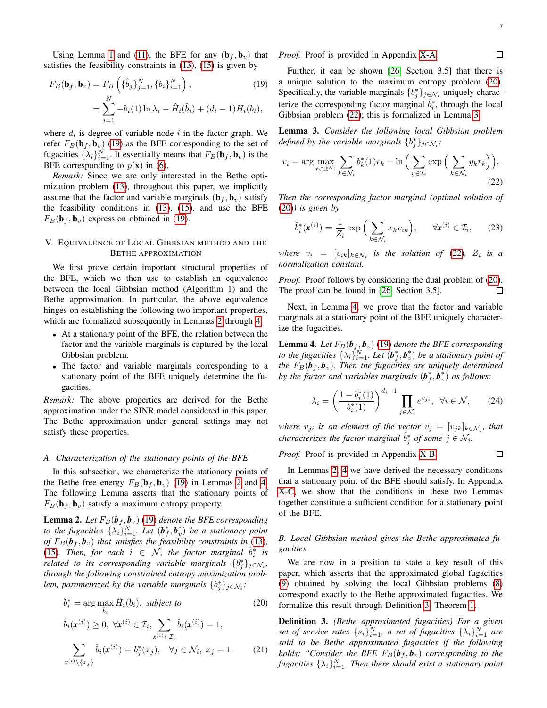<span id="page-6-10"></span><span id="page-6-5"></span> $\Box$ 

<span id="page-6-8"></span> $\Box$ 

Using Lemma [1](#page-5-7) and [\(11\)](#page-4-2), the BFE for any  $(\mathbf{b}_f, \mathbf{b}_v)$  that satisfies the feasibility constraints in [\(13\)](#page-5-0), [\(15\)](#page-5-1) is given by

$$
F_B(\mathbf{b}_f, \mathbf{b}_v) = F_B\left(\{\hat{b}_j\}_{j=1}^N, \{b_i\}_{i=1}^N\right),\tag{19}
$$

$$
= \sum_{i=1}^N -b_i(1)\ln\lambda_i - \hat{H}_i(\hat{b}_i) + (d_i - 1)H_i(b_i),
$$

where  $d_i$  is degree of variable node i in the factor graph. We refer  $F_B(\mathbf{b}_f, \mathbf{b}_v)$  [\(19\)](#page-6-1) as the BFE corresponding to the set of fugacities  $\{\lambda_i\}_{i=1}^N$ . It essentially means that  $F_B(\mathbf{b}_f, \mathbf{b}_v)$  is the BFE corresponding to  $p(x)$  in [\(6\)](#page-3-1).

*Remark:* Since we are only interested in the Bethe optimization problem [\(13\)](#page-5-0), throughout this paper, we implicitly assume that the factor and variable marginals  $(\mathbf{b}_f, \mathbf{b}_v)$  satisfy the feasibility conditions in [\(13\)](#page-5-0), [\(15\)](#page-5-1), and use the BFE  $F_B(\mathbf{b}_f, \mathbf{b}_v)$  expression obtained in [\(19\)](#page-6-1).

# <span id="page-6-0"></span>V. EQUIVALENCE OF LOCAL GIBBSIAN METHOD AND THE BETHE APPROXIMATION

We first prove certain important structural properties of the BFE, which we then use to establish an equivalence between the local Gibbsian method (Algorithm 1) and the Bethe approximation. In particular, the above equivalence hinges on establishing the following two important properties, which are formalized subsequently in Lemmas [2](#page-6-2) through [4.](#page-6-3)

- At a stationary point of the BFE, the relation between the factor and the variable marginals is captured by the local Gibbsian problem.
- The factor and variable marginals corresponding to a stationary point of the BFE uniquely determine the fugacities.

*Remark:* The above properties are derived for the Bethe approximation under the SINR model considered in this paper. The Bethe approximation under general settings may not satisfy these properties.

# *A. Characterization of the stationary points of the BFE*

In this subsection, we characterize the stationary points of the Bethe free energy  $F_B(\mathbf{b}_f, \mathbf{b}_v)$  [\(19\)](#page-6-1) in Lemmas [2](#page-6-2) and [4.](#page-6-3) The following Lemma asserts that the stationary points of  $F_B(\mathbf{b}_f, \mathbf{b}_v)$  satisfy a maximum entropy property.

<span id="page-6-2"></span>**Lemma 2.** Let  $F_B(\boldsymbol{b}_f, \boldsymbol{b}_v)$  [\(19\)](#page-6-1) denote the BFE corresponding *to the fugacities*  $\{\lambda_i\}_{i=1}^N$ . Let  $(\boldsymbol{b}_f^*, \boldsymbol{b}_v^*)$  be a stationary point *of*  $F_B(\boldsymbol{b}_f, \boldsymbol{b}_v)$  *that satisfies the feasibility constraints in* [\(13\)](#page-5-0)*,* [\(15\)](#page-5-1). Then, for each  $i \in \mathcal{N}$ , the factor marginal  $\hat{b}_i^*$  is *related to its corresponding variable marginals*  $\{b_j^*\}_{j \in \mathcal{N}_i}$ , *through the following constrained entropy maximization problem, parametrized by the variable marginals*  $\{b_j^*\}_{j \in \mathcal{N}_i}$ *:* 

$$
\hat{b}_i^* = \arg \max_{\hat{b}_i} \hat{H}_i(\hat{b}_i), \text{ subject to} \tag{20}
$$

$$
\hat{b}_i(\mathbf{x}^{(i)}) \ge 0, \ \forall \mathbf{x}^{(i)} \in \mathcal{I}_i; \sum_{\mathbf{x}^{(i)} \in \mathcal{I}_i} \hat{b}_i(\mathbf{x}^{(i)}) = 1,
$$
\n
$$
\sum_{\mathbf{x}^{(i)} \setminus \{x_j\}} \hat{b}_i(\mathbf{x}^{(i)}) = b_j^*(x_j), \quad \forall j \in \mathcal{N}_i, \ x_j = 1.
$$
\n(21)

*Proof.* Proof is provided in Appendix [X-A.](#page-11-1)

<span id="page-6-1"></span>Further, it can be shown [\[26,](#page-14-23) Section 3.5] that there is a unique solution to the maximum entropy problem [\(20\)](#page-6-4). Specifically, the variable marginals  $\{b_j^*\}_{j \in \mathcal{N}_i}$  uniquely characterize the corresponding factor marginal  $\hat{b}_i^*$ , through the local Gibbsian problem [\(22\)](#page-6-5); this is formalized in Lemma [3.](#page-6-6)

<span id="page-6-6"></span>Lemma 3. *Consider the following local Gibbsian problem defined by the variable marginals*  $\{b_j^*\}_{j \in \mathcal{N}_i}$ *:* 

$$
v_i = \arg\max_{r \in \mathbb{R}^{N_i}} \sum_{k \in \mathcal{N}_i} b_k^*(1)r_k - \ln\Big(\sum_{y \in \mathcal{I}_i} \exp\Big(\sum_{k \in \mathcal{N}_i} y_k r_k\Big)\Big). \tag{22}
$$

*Then the corresponding factor marginal (optimal solution of* [\(20\)](#page-6-4)*) is given by*

$$
\hat{b}_i^*(\mathbf{x}^{(i)}) = \frac{1}{Z_i} \exp\left(\sum_{k \in \mathcal{N}_i} x_k v_{ik}\right), \quad \forall \mathbf{x}^{(i)} \in \mathcal{I}_i,\qquad(23)
$$

*where*  $v_i = [v_{ik}]_{k \in \mathcal{N}_i}$  *is the solution of* [\(22\)](#page-6-5),  $Z_i$  *is a normalization constant.*

*Proof.* Proof follows by considering the dual problem of [\(20\)](#page-6-4). The proof can be found in [\[26,](#page-14-23) Section 3.5].  $\Box$ 

Next, in Lemma [4,](#page-6-3) we prove that the factor and variable marginals at a stationary point of the BFE uniquely characterize the fugacities.

<span id="page-6-3"></span>**Lemma 4.** Let  $F_B(\boldsymbol{b}_f, \boldsymbol{b}_v)$  [\(19\)](#page-6-1) denote the BFE corresponding *to the fugacities*  $\{\lambda_i\}_{i=1}^N$ . Let  $(\boldsymbol{b}_f^*, \boldsymbol{b}_v^*)$  be a stationary point of *the*  $F_B(\boldsymbol{b}_f, \boldsymbol{b}_v)$ *. Then the fugacities are uniquely determined by the factor and variables marginals*  $(b_f^*, b_v^*)$  *as follows:* 

$$
\lambda_i = \left(\frac{1 - b_i^*(1)}{b_i^*(1)}\right)^{d_i - 1} \prod_{j \in \mathcal{N}_i} e^{v_{ji}}, \ \ \forall i \in \mathcal{N}, \qquad (24)
$$

*where*  $v_{ji}$  *is an element of the vector*  $v_j = [v_{jk}]_{k \in \mathcal{N}_j}$ *, that characterizes the factor marginal*  $\hat{b}_j^*$  *of some*  $j \in \mathcal{N}_i$ *.* 

*Proof.* Proof is provided in Appendix [X-B.](#page-13-0)

In Lemmas [2,](#page-6-2) [4](#page-6-3) we have derived the necessary conditions that a stationary point of the BFE should satisfy. In Appendix [X-C,](#page-13-1) we show that the conditions in these two Lemmas together constitute a sufficient condition for a stationary point of the BFE.

# *B. Local Gibbsian method gives the Bethe approximated fugacities*

We are now in a position to state a key result of this paper, which asserts that the approximated global fugacities [\(9\)](#page-3-2) obtained by solving the local Gibbsian problems [\(8\)](#page-3-3) correspond exactly to the Bethe approximated fugacities. We formalize this result through Definition [3,](#page-6-7) Theorem [1.](#page-7-1)

<span id="page-6-9"></span><span id="page-6-7"></span><span id="page-6-4"></span>Definition 3. *(Bethe approximated fugacities) For a given* set of service rates  $\{s_i\}_{i=1}^N$ , a set of fugacities  $\{\lambda_i\}_{i=1}^N$  are *said to be Bethe approximated fugacities if the following holds: "Consider the BFE*  $F_B(\boldsymbol{b}_f, \boldsymbol{b}_v)$  *corresponding to the* fugacities  $\{\lambda_i\}_{i=1}^N$ . Then there should exist a stationary point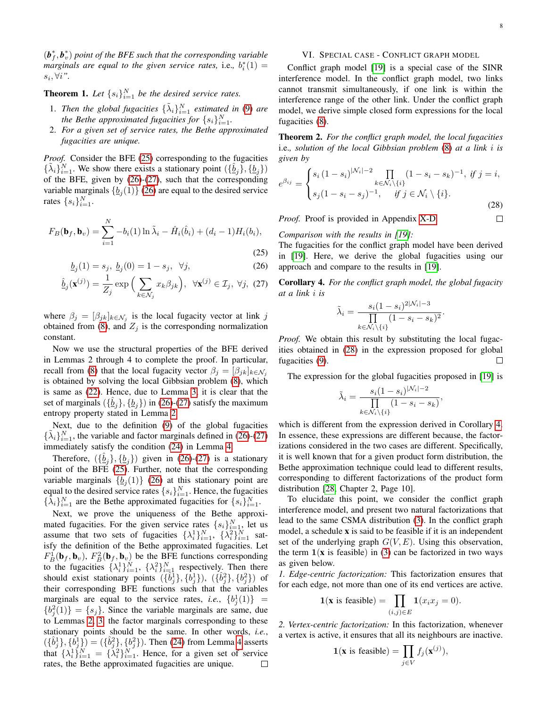$(\boldsymbol{b}_{f}^{*}, \boldsymbol{b}_{v}^{*})$  point of the BFE such that the corresponding variable *marginals are equal to the given service rates, i.e.,*  $b_i^*(1) =$  $s_i, \forall i$ ".

<span id="page-7-1"></span>**Theorem 1.** Let  $\{s_i\}_{i=1}^N$  be the desired service rates.

- 1. Then the global fugacities  $\{\tilde{\lambda}_i\}_{i=1}^N$  estimated in [\(9\)](#page-3-2) are *the Bethe approximated fugacities for*  $\{s_i\}_{i=1}^N$ .
- 2. *For a given set of service rates, the Bethe approximated fugacities are unique.*

*Proof.* Consider the BFE [\(25\)](#page-7-2) corresponding to the fugacities  $\{\tilde{\lambda}_i\}_{i=1}^N$ . We show there exists a stationary point  $(\{\hat{\underline{b}}_j\}, \{\underline{b}_j\})$ of the BFE, given by [\(26\)](#page-7-3)-[\(27\)](#page-7-4), such that the corresponding variable marginals  $\{\underline{b}_j(1)\}\$  [\(26\)](#page-7-3) are equal to the desired service rates  $\{s_i\}_{i=1}^N$ .

$$
F_B(\mathbf{b}_f, \mathbf{b}_v) = \sum_{i=1}^N -b_i(1) \ln \tilde{\lambda}_i - \hat{H}_i(\hat{b}_i) + (d_i - 1) H_i(b_i),
$$
\n(25)

$$
\underline{b}_j(1) = s_j, \ \underline{b}_j(0) = 1 - s_j, \ \ \forall j,
$$
\n(26)

$$
\hat{\underline{b}}_j(\mathbf{x}^{(j)}) = \frac{1}{Z_j} \exp\left(\sum_{k \in \mathcal{N}_j} x_k \beta_{jk}\right), \ \forall \mathbf{x}^{(j)} \in \mathcal{I}_j, \ \forall j, \ (27)
$$

where  $\beta_j = [\beta_{jk}]_{k \in \mathcal{N}_j}$  is the local fugacity vector at link j obtained from [\(8\)](#page-3-3), and  $Z_j$  is the corresponding normalization constant.

Now we use the structural properties of the BFE derived in Lemmas 2 through 4 to complete the proof. In particular, recall from [\(8\)](#page-3-3) that the local fugacity vector  $\beta_j = [\beta_{jk}]_{k \in \mathcal{N}_j}$ is obtained by solving the local Gibbsian problem [\(8\)](#page-3-3), which is same as [\(22\)](#page-6-5). Hence, due to Lemma [3,](#page-6-6) it is clear that the set of marginals  $(\{\hat{\underline{b}}_j\}, {\{\underline{b}}_j\})$  in [\(26\)](#page-7-3)-[\(27\)](#page-7-4) satisfy the maximum entropy property stated in Lemma [2.](#page-6-2)

Next, due to the definition [\(9\)](#page-3-2) of the global fugacities  $\{\tilde{\lambda}_i\}_{i=1}^N$ , the variable and factor marginals defined in [\(26\)](#page-7-3)-[\(27\)](#page-7-4) immediately satisfy the condition [\(24\)](#page-6-8) in Lemma [4.](#page-6-3)

Therefore,  $(\{\hat{\underline{b}}_j\}, {\{\underline{b}}_j\})$  given in [\(26\)](#page-7-3)-[\(27\)](#page-7-4) is a stationary point of the BFE [\(25\)](#page-7-2). Further, note that the corresponding variable marginals  $\{\underline{b}_j(1)\}\$  [\(26\)](#page-7-3) at this stationary point are equal to the desired service rates  $\{s_i\}_{i=1}^N$ . Hence, the fugacities  $\{\hat{\lambda}_i\}_{i=1}^N$  are the Bethe approximated fugacities for  $\{s_i\}_{i=1}^N$ .

Next, we prove the uniqueness of the Bethe approximated fugacities. For the given service rates  $\{s_i\}_{i=1}^N$ , let us assume that two sets of fugacities  $\{\lambda_i^1\}_{i=1}^N$ ,  $\{\lambda_i^2\}_{i=1}^N$  satisfy the definition of the Bethe approximated fugacities. Let  $F_B^1(\mathbf{b}_f, \mathbf{b}_v)$ ,  $F_B^2(\mathbf{b}_f, \mathbf{b}_v)$  be the BFE functions corresponding to the fugacities  $\{\lambda_i^1\}_{i=1}^N$ ,  $\{\lambda_i^2\}_{i=1}^N$  respectively. Then there should exist stationary points  $(\{\hat{b}_j^1\}, \{\hat{b}_j^1\}),$   $(\{\hat{b}_j^2\}, \{b_j^2\})$  of their corresponding BFE functions such that the variables marginals are equal to the service rates, *i.e.*,  ${b_j^1(1)} =$  ${b_j^2(1)} = {s_j}$ . Since the variable marginals are same, due to Lemmas [2,](#page-6-2) [3,](#page-6-6) the factor marginals corresponding to these stationary points should be the same. In other words, *i.e.*,  $(\{\hat{b}_j^1\}, \{\hat{b}_j^1\}) = (\{\hat{b}_j^2\}, \{b_j^2\})$ . Then [\(24\)](#page-6-8) from Lemma [4](#page-6-3) asserts that  $\{\lambda_i^1\}_{i=1}^N = \{\lambda_i^2\}_{i=1}^N$ . Hence, for a given set of service rates, the Bethe approximated fugacities are unique.  $\Box$ 

# VI. SPECIAL CASE - CONFLICT GRAPH MODEL

<span id="page-7-0"></span>Conflict graph model [\[19\]](#page-14-16) is a special case of the SINR interference model. In the conflict graph model, two links cannot transmit simultaneously, if one link is within the interference range of the other link. Under the conflict graph model, we derive simple closed form expressions for the local fugacities [\(8\)](#page-3-3).

<span id="page-7-7"></span>Theorem 2. *For the conflict graph model, the local fugacities* i.e.*, solution of the local Gibbsian problem* [\(8\)](#page-3-3) *at a link* i *is given by*

$$
e^{\beta_{ij}} = \begin{cases} s_i (1 - s_i)^{|\mathcal{N}_i| - 2} \prod_{k \in \mathcal{N}_i \setminus \{i\}} (1 - s_i - s_k)^{-1}, & \text{if } j = i, \\ s_j (1 - s_i - s_j)^{-1}, & \text{if } j \in \mathcal{N}_i \setminus \{i\}. \end{cases}
$$
\n*Proof.* Proof is provided in Appendix X-D.

*Comparison with the results in [\[19\]](#page-14-16):*

<span id="page-7-3"></span><span id="page-7-2"></span>The fugacities for the conflict graph model have been derived in [\[19\]](#page-14-16). Here, we derive the global fugacities using our approach and compare to the results in [\[19\]](#page-14-16).

<span id="page-7-6"></span><span id="page-7-4"></span>Corollary 4. *For the conflict graph model, the global fugacity at a link* i *is*

$$
\tilde{\lambda}_{i} = \frac{s_{i}(1 - s_{i})^{2|N_{i}| - 3}}{\prod_{k \in \mathcal{N}_{i} \setminus \{i\}} (1 - s_{i} - s_{k})^{2}}
$$

<span id="page-7-5"></span>.

*Proof.* We obtain this result by substituting the local fugacities obtained in [\(28\)](#page-7-5) in the expression proposed for global fugacities [\(9\)](#page-3-2).  $\Box$ 

The expression for the global fugacities proposed in [\[19\]](#page-14-16) is

$$
\tilde{\lambda}_i = \frac{s_i (1 - s_i)^{|\mathcal{N}_i| - 2}}{\prod_{k \in \mathcal{N}_i \setminus \{i\}} (1 - s_i - s_k)},
$$

which is different from the expression derived in Corollary [4.](#page-7-6) In essence, these expressions are different because, the factorizations considered in the two cases are different. Specifically, it is well known that for a given product form distribution, the Bethe approximation technique could lead to different results, corresponding to different factorizations of the product form distribution [\[28,](#page-15-0) Chapter 2, Page 10].

To elucidate this point, we consider the conflict graph interference model, and present two natural factorizations that lead to the same CSMA distribution [\(3\)](#page-2-3). In the conflict graph model, a schedule  $x$  is said to be feasible if it is an independent set of the underlying graph  $G(V, E)$ . Using this observation, the term  $1(x$  is feasible) in [\(3\)](#page-2-3) can be factorized in two ways as given below.

*1. Edge-centric factorization:* This factorization ensures that for each edge, not more than one of its end vertices are active.

$$
\mathbf{1}(\mathbf{x} \text{ is feasible}) = \prod_{(i,j)\in E} \mathbf{1}(x_i x_j = 0).
$$

*2. Vertex-centric factorization:* In this factorization, whenever a vertex is active, it ensures that all its neighbours are inactive.

$$
\mathbf{1}(\mathbf{x} \text{ is feasible}) = \prod_{j \in V} f_j(\mathbf{x}^{(j)}),
$$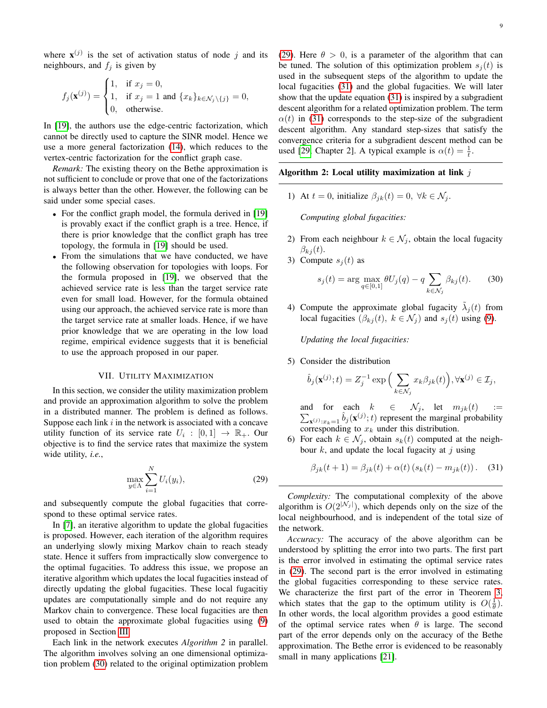where  $\mathbf{x}^{(j)}$  is the set of activation status of node j and its neighbours, and  $f_i$  is given by

$$
f_j(\mathbf{x}^{(j)}) = \begin{cases} 1, & \text{if } x_j = 0, \\ 1, & \text{if } x_j = 1 \text{ and } \{x_k\}_{k \in \mathcal{N}_j \setminus \{j\}} = 0, \\ 0, & \text{otherwise.} \end{cases}
$$

In [\[19\]](#page-14-16), the authors use the edge-centric factorization, which cannot be directly used to capture the SINR model. Hence we use a more general factorization [\(14\)](#page-5-4), which reduces to the vertex-centric factorization for the conflict graph case.

*Remark:* The existing theory on the Bethe approximation is not sufficient to conclude or prove that one of the factorizations is always better than the other. However, the following can be said under some special cases.

- For the conflict graph model, the formula derived in [\[19\]](#page-14-16) is provably exact if the conflict graph is a tree. Hence, if there is prior knowledge that the conflict graph has tree topology, the formula in [\[19\]](#page-14-16) should be used.
- From the simulations that we have conducted, we have the following observation for topologies with loops. For the formula proposed in [\[19\]](#page-14-16), we observed that the achieved service rate is less than the target service rate even for small load. However, for the formula obtained using our approach, the achieved service rate is more than the target service rate at smaller loads. Hence, if we have prior knowledge that we are operating in the low load regime, empirical evidence suggests that it is beneficial to use the approach proposed in our paper.

#### VII. UTILITY MAXIMIZATION

<span id="page-8-0"></span>In this section, we consider the utility maximization problem and provide an approximation algorithm to solve the problem in a distributed manner. The problem is defined as follows. Suppose each link  $i$  in the network is associated with a concave utility function of its service rate  $U_i : [0,1] \rightarrow \mathbb{R}_+$ . Our objective is to find the service rates that maximize the system wide utility, *i.e.*,

$$
\max_{y \in \Lambda} \sum_{i=1}^{N} U_i(y_i),\tag{29}
$$

and subsequently compute the global fugacities that correspond to these optimal service rates.

In [\[7\]](#page-14-4), an iterative algorithm to update the global fugacities is proposed. However, each iteration of the algorithm requires an underlying slowly mixing Markov chain to reach steady state. Hence it suffers from impractically slow convergence to the optimal fugacities. To address this issue, we propose an iterative algorithm which updates the local fugacities instead of directly updating the global fugacities. These local fugacitiy updates are computationally simple and do not require any Markov chain to convergence. These local fugacities are then used to obtain the approximate global fugacities using [\(9\)](#page-3-2) proposed in Section [III.](#page-3-0)

Each link in the network executes *Algorithm 2* in parallel. The algorithm involves solving an one dimensional optimization problem [\(30\)](#page-8-1) related to the original optimization problem [\(29\)](#page-8-2). Here  $\theta > 0$ , is a parameter of the algorithm that can be tuned. The solution of this optimization problem  $s_i(t)$  is used in the subsequent steps of the algorithm to update the local fugacities [\(31\)](#page-8-3) and the global fugacities. We will later show that the update equation [\(31\)](#page-8-3) is inspired by a subgradient descent algorithm for a related optimization problem. The term  $\alpha(t)$  in [\(31\)](#page-8-3) corresponds to the step-size of the subgradient descent algorithm. Any standard step-sizes that satisfy the convergence criteria for a subgradient descent method can be used [\[29,](#page-15-1) Chapter 2]. A typical example is  $\alpha(t) = \frac{1}{t}$ .

#### Algorithm 2: Local utility maximization at link  $j$

1) At  $t = 0$ , initialize  $\beta_{jk}(t) = 0$ ,  $\forall k \in \mathcal{N}_j$ .

*Computing global fugacities:*

- 2) From each neighbour  $k \in \mathcal{N}_j$ , obtain the local fugacity  $\beta_{kj}(t)$ .
- 3) Compute  $s_i(t)$  as

<span id="page-8-1"></span>
$$
s_j(t) = \arg\max_{q \in [0,1]} \theta U_j(q) - q \sum_{k \in \mathcal{N}_j} \beta_{kj}(t). \tag{30}
$$

4) Compute the approximate global fugacity  $\tilde{\lambda}_j(t)$  from local fugacities  $(\beta_{kj}(t), k \in \mathcal{N}_j)$  and  $s_j(t)$  using [\(9\)](#page-3-2).

*Updating the local fugacities:*

5) Consider the distribution

$$
\hat{b}_j(\mathbf{x}^{(j)};t) = Z_j^{-1} \exp\Big(\sum_{k \in \mathcal{N}_j} x_k \beta_{jk}(t)\Big), \forall \mathbf{x}^{(j)} \in \mathcal{I}_j,
$$

and for each  $\sum$  $k \in \mathcal{N}_j$ , let  $m_{jk}(t)$  :=  $\mathbf{x}^{(j)}:x_k=1$   $\hat{b}_j(\mathbf{x}^{(j)};t)$  represent the marginal probability corresponding to  $x_k$  under this distribution.

6) For each  $k \in \mathcal{N}_i$ , obtain  $s_k(t)$  computed at the neighbour  $k$ , and update the local fugacity at j using

<span id="page-8-3"></span>
$$
\beta_{jk}(t+1) = \beta_{jk}(t) + \alpha(t) (s_k(t) - m_{jk}(t)).
$$
 (31)

<span id="page-8-2"></span>*Complexity:* The computational complexity of the above algorithm is  $O(2^{|{\cal N}_j|})$ , which depends only on the size of the local neighbourhood, and is independent of the total size of the network.

*Accuracy:* The accuracy of the above algorithm can be understood by splitting the error into two parts. The first part is the error involved in estimating the optimal service rates in [\(29\)](#page-8-2). The second part is the error involved in estimating the global fugacities corresponding to these service rates. We characterize the first part of the error in Theorem [3,](#page-9-1) which states that the gap to the optimum utility is  $O(\frac{1}{\theta})$ . In other words, the local algorithm provides a good estimate of the optimal service rates when  $\theta$  is large. The second part of the error depends only on the accuracy of the Bethe approximation. The Bethe error is evidenced to be reasonably small in many applications [\[21\]](#page-14-18).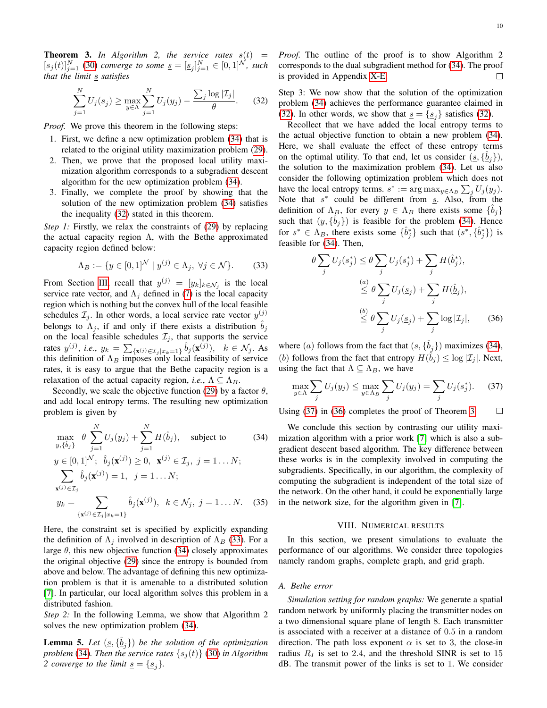<span id="page-9-1"></span>**Theorem 3.** In Algorithm 2, the service rates  $s(t)$  =  $[s_j(t)]_{j=1}^N$  [\(30\)](#page-8-1) *converge to some*  $\underline{s} = [\underline{s}_j]_{j=1}^N \in [0,1]^N$ , *such that the limit s satisfies* 

$$
\sum_{j=1}^{N} U_j(\underline{s}_j) \ge \max_{y \in \Lambda} \sum_{j=1}^{N} U_j(y_j) - \frac{\sum_j \log |\mathcal{I}_j|}{\theta}.
$$
 (32)

*Proof.* We prove this theorem in the following steps:

- 1. First, we define a new optimization problem [\(34\)](#page-9-2) that is related to the original utility maximization problem [\(29\)](#page-8-2).
- 2. Then, we prove that the proposed local utility maximization algorithm corresponds to a subgradient descent algorithm for the new optimization problem [\(34\)](#page-9-2).
- 3. Finally, we complete the proof by showing that the solution of the new optimization problem [\(34\)](#page-9-2) satisfies the inequality [\(32\)](#page-9-3) stated in this theorem.

*Step 1:* Firstly, we relax the constraints of [\(29\)](#page-8-2) by replacing the actual capacity region  $\Lambda$ , with the Bethe approximated capacity region defined below:

$$
\Lambda_B := \{ y \in [0, 1]^{\mathcal{N}} \mid y^{(j)} \in \Lambda_j, \ \forall j \in \mathcal{N} \}. \tag{33}
$$

From Section [III,](#page-3-0) recall that  $y^{(j)} = [y_k]_{k \in \mathcal{N}_j}$  is the local service rate vector, and  $\Lambda_i$  defined in [\(7\)](#page-3-4) is the local capacity region which is nothing but the convex hull of the local feasible schedules  $\mathcal{I}_j$ . In other words, a local service rate vector  $y^{(j)}$ belongs to  $\Lambda_j$ , if and only if there exists a distribution  $b_j$ on the local feasible schedules  $\mathcal{I}_i$ , that supports the service rates  $y^{(j)}$ , *i.e.*,  $y_k = \sum_{\{\mathbf{x}^{(j)} \in \mathcal{I}_j | x_k = 1\}} \hat{b}_j(\mathbf{x}^{(j)})$ ,  $k \in \mathcal{N}_j$ . As this definition of  $\Lambda_B$  imposes only local feasibility of service rates, it is easy to argue that the Bethe capacity region is a relaxation of the actual capacity region, *i.e.*,  $\Lambda \subseteq \Lambda_B$ .

Secondly, we scale the objective function [\(29\)](#page-8-2) by a factor  $\theta$ , and add local entropy terms. The resulting new optimization problem is given by

$$
\max_{y,\{\hat{b}_j\}} \theta \sum_{j=1}^N U_j(y_j) + \sum_{j=1}^N H(\hat{b}_j), \text{ subject to} \qquad (34)
$$
  
\n
$$
y \in [0,1]^N; \quad \hat{b}_j(\mathbf{x}^{(j)}) \ge 0, \quad \mathbf{x}^{(j)} \in \mathcal{I}_j, \ j = 1...N;
$$
  
\n
$$
\sum_{\mathbf{x}^{(j)} \in \mathcal{I}_j} \hat{b}_j(\mathbf{x}^{(j)}) = 1, \ j = 1...N;
$$
  
\n
$$
y_k = \sum_{\{\mathbf{x}^{(j)} \in \mathcal{I}_j | x_k = 1\}} \hat{b}_j(\mathbf{x}^{(j)}), \ k \in \mathcal{N}_j, \ j = 1...N.
$$
 (35)

Here, the constraint set is specified by explicitly expanding the definition of  $\Lambda_i$  involved in description of  $\Lambda_B$  [\(33\)](#page-9-4). For a large  $\theta$ , this new objective function [\(34\)](#page-9-2) closely approximates the original objective [\(29\)](#page-8-2) since the entropy is bounded from above and below. The advantage of defining this new optimization problem is that it is amenable to a distributed solution [\[7\]](#page-14-4). In particular, our local algorithm solves this problem in a distributed fashion.

*Step 2:* In the following Lemma, we show that Algorithm 2 solves the new optimization problem [\(34\)](#page-9-2).

<span id="page-9-7"></span>**Lemma 5.** Let  $(s, \{\hat{b}_j\})$  be the solution of the optimization *problem* [\(34\)](#page-9-2)*. Then the service rates*  $\{s_j(t)\}$  [\(30\)](#page-8-1) *in Algorithm 2 converge to the limit*  $\underline{s} = {\underline{s_i}}.$ 

*Proof.* The outline of the proof is to show Algorithm 2 corresponds to the dual subgradient method for [\(34\)](#page-9-2). The proof is provided in Appendix [X-E.](#page-13-3) П

<span id="page-9-3"></span>Step 3: We now show that the solution of the optimization problem [\(34\)](#page-9-2) achieves the performance guarantee claimed in [\(32\)](#page-9-3). In other words, we show that  $s = \{s_i\}$  satisfies (32).

Recollect that we have added the local entropy terms to the actual objective function to obtain a new problem [\(34\)](#page-9-2). Here, we shall evaluate the effect of these entropy terms on the optimal utility. To that end, let us consider  $(\underline{s}, {\hat{b}_j})$ , the solution to the maximization problem [\(34\)](#page-9-2). Let us also consider the following optimization problem which does not have the local entropy terms.  $s^* := \arg \max_{y \in \Lambda_B} \sum_j U_j(y_j)$ . Note that  $s^*$  could be different from  $s$ . Also, from the definition of  $\Lambda_B$ , for every  $y \in \Lambda_B$  there exists some  $\{\hat{b}_j\}$ such that  $(y, {\hat{b}_j})$  is feasible for the problem [\(34\)](#page-9-2). Hence for  $s^* \in \Lambda_B$ , there exists some  $\{\hat{b}_j^*\}$  such that  $(s^*, \{\hat{b}_j^*\})$  is feasible for [\(34\)](#page-9-2). Then,

<span id="page-9-6"></span><span id="page-9-4"></span>
$$
\theta \sum_{j} U_j(s_j^*) \leq \theta \sum_{j} U_j(s_j^*) + \sum_{j} H(\hat{b}_j^*),
$$
  

$$
\leq \theta \sum_{j} U_j(\underline{s}_j) + \sum_{j} H(\hat{\underline{b}}_j),
$$
  

$$
\leq \theta \sum_{j} U_j(\underline{s}_j) + \sum_{j} \log |\mathcal{I}_j|,
$$
 (36)

where (a) follows from the fact that  $(g, {\{\hat{b}_j\}})$  maximizes [\(34\)](#page-9-2), (b) follows from the fact that entropy  $H(\hat{b}_j) \leq \log |\mathcal{I}_j|$ . Next, using the fact that  $\Lambda \subseteq \Lambda_B$ , we have

<span id="page-9-5"></span>
$$
\max_{y \in \Lambda} \sum_{j} U_j(y_j) \le \max_{y \in \Lambda_B} \sum_{j} U_j(y_j) = \sum_{j} U_j(s_j^*). \tag{37}
$$

Using [\(37\)](#page-9-5) in [\(36\)](#page-9-6) completes the proof of Theorem [3.](#page-9-1)  $\Box$ 

<span id="page-9-2"></span>We conclude this section by contrasting our utility maximization algorithm with a prior work [\[7\]](#page-14-4) which is also a subgradient descent based algorithm. The key difference between these works is in the complexity involved in computing the subgradients. Specifically, in our algorithm, the complexity of computing the subgradient is independent of the total size of the network. On the other hand, it could be exponentially large in the network size, for the algorithm given in [\[7\]](#page-14-4).

## VIII. NUMERICAL RESULTS

<span id="page-9-8"></span><span id="page-9-0"></span>In this section, we present simulations to evaluate the performance of our algorithms. We consider three topologies namely random graphs, complete graph, and grid graph.

# *A. Bethe error*

*Simulation setting for random graphs:* We generate a spatial random network by uniformly placing the transmitter nodes on a two dimensional square plane of length 8. Each transmitter is associated with a receiver at a distance of 0.5 in a random direction. The path loss exponent  $\alpha$  is set to 3, the close-in radius  $R_I$  is set to 2.4, and the threshold SINR is set to 15 dB. The transmit power of the links is set to 1. We consider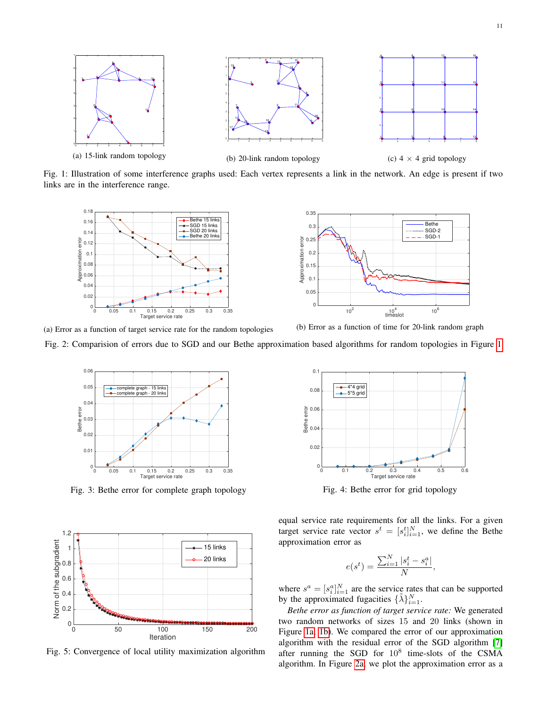<span id="page-10-0"></span>

Fig. 1: Illustration of some interference graphs used: Each vertex represents a link in the network. An edge is present if two links are in the interference range.

<span id="page-10-1"></span>



(b) Error as a function of time for 20-link random graph

<span id="page-10-2"></span>Fig. 2: Comparision of errors due to SGD and our Bethe approximation based algorithms for random topologies in Figure [1](#page-10-0)



Fig. 3: Bethe error for complete graph topology

<span id="page-10-3"></span>

Fig. 5: Convergence of local utility maximization algorithm

![](_page_10_Figure_11.jpeg)

Fig. 4: Bethe error for grid topology

equal service rate requirements for all the links. For a given target service rate vector  $s^t = [s_{i}^t]_{i=1}^N$ , we define the Bethe approximation error as

$$
e(s^t) = \frac{\sum_{i=1}^{N} |s_i^t - s_i^a|}{N},
$$

where  $s^a = [s_i^a]_{i=1}^N$  are the service rates that can be supported by the approximated fugacities  $\{\tilde{\lambda}\}_{i=1}^N$ .

*Bethe error as function of target service rate:* We generated two random networks of sizes 15 and 20 links (shown in Figure [1a, 1b\)](#page-10-0). We compared the error of our approximation algorithm with the residual error of the SGD algorithm [\[7\]](#page-14-4) after running the SGD for  $10^8$  time-slots of the CSMA algorithm. In Figure [2a,](#page-10-1) we plot the approximation error as a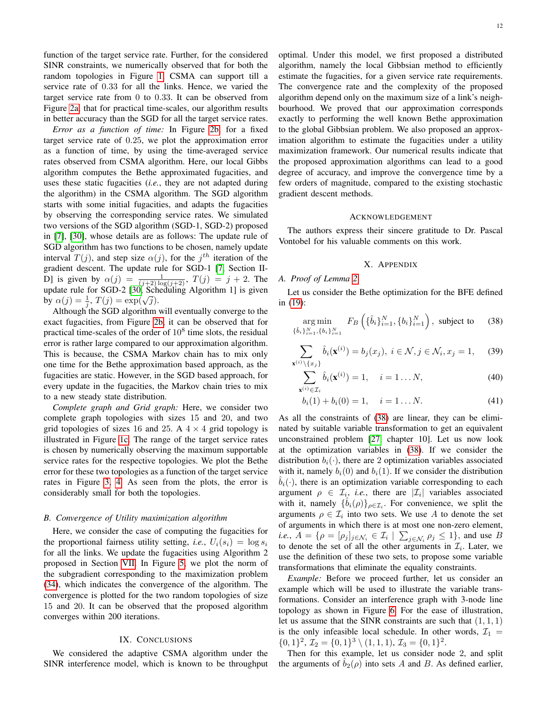function of the target service rate. Further, for the considered SINR constraints, we numerically observed that for both the random topologies in Figure [1,](#page-10-0) CSMA can support till a service rate of 0.33 for all the links. Hence, we varied the target service rate from 0 to 0.33. It can be observed from Figure [2a,](#page-10-1) that for practical time-scales, our algorithm results in better accuracy than the SGD for all the target service rates.

*Error as a function of time:* In Figure [2b,](#page-10-1) for a fixed target service rate of 0.25, we plot the approximation error as a function of time, by using the time-averaged service rates observed from CSMA algorithm. Here, our local Gibbs algorithm computes the Bethe approximated fugacities, and uses these static fugacities (*i.e.*, they are not adapted during the algorithm) in the CSMA algorithm. The SGD algorithm starts with some initial fugacities, and adapts the fugacities by observing the corresponding service rates. We simulated two versions of the SGD algorithm (SGD-1, SGD-2) proposed in [\[7\]](#page-14-4), [\[30\]](#page-15-2), whose details are as follows: The update rule of SGD algorithm has two functions to be chosen, namely update interval  $T(j)$ , and step size  $\alpha(j)$ , for the  $j<sup>th</sup>$  iteration of the gradient descent. The update rule for SGD-1 [\[7,](#page-14-4) Section II-D] is given by  $\alpha(j) = \frac{1}{(j+2)\log(j+2)}$ ,  $T(j) = j+2$ . The update rule for SGD-2 [\[30,](#page-15-2) Scheduling Algorithm 1] is given by  $\alpha(j) = \frac{1}{j}$ ,  $T(j) = \exp(\sqrt{j})$ .

Although the SGD algorithm will eventually converge to the exact fugacities, from Figure [2b,](#page-10-1) it can be observed that for practical time-scales of the order of  $10^8$  time slots, the residual error is rather large compared to our approximation algorithm. This is because, the CSMA Markov chain has to mix only one time for the Bethe approximation based approach, as the fugacities are static. However, in the SGD based approach, for every update in the fugacities, the Markov chain tries to mix to a new steady state distribution.

*Complete graph and Grid graph:* Here, we consider two complete graph topologies with sizes 15 and 20, and two grid topologies of sizes 16 and 25. A  $4 \times 4$  grid topology is illustrated in Figure [1c.](#page-10-0) The range of the target service rates is chosen by numerically observing the maximum supportable service rates for the respective topologies. We plot the Bethe error for these two topologies as a function of the target service rates in Figure [3, 4.](#page-10-2) As seen from the plots, the error is considerably small for both the topologies.

#### *B. Convergence of Utility maximization algorithm*

Here, we consider the case of computing the fugacities for the proportional fairness utility setting, *i.e.*,  $U_i(s_i) = \log s_i$ for all the links. We update the fugacities using Algorithm 2 proposed in Section [VII.](#page-8-0) In Figure [5,](#page-10-3) we plot the norm of the subgradient corresponding to the maximization problem [\(34\)](#page-9-2), which indicates the convergence of the algorithm. The convergence is plotted for the two random topologies of size 15 and 20. It can be observed that the proposed algorithm converges within 200 iterations.

# IX. CONCLUSIONS

<span id="page-11-0"></span>We considered the adaptive CSMA algorithm under the SINR interference model, which is known to be throughput optimal. Under this model, we first proposed a distributed algorithm, namely the local Gibbsian method to efficiently estimate the fugacities, for a given service rate requirements. The convergence rate and the complexity of the proposed algorithm depend only on the maximum size of a link's neighbourhood. We proved that our approximation corresponds exactly to performing the well known Bethe approximation to the global Gibbsian problem. We also proposed an approximation algorithm to estimate the fugacities under a utility maximization framework. Our numerical results indicate that the proposed approximation algorithms can lead to a good degree of accuracy, and improve the convergence time by a few orders of magnitude, compared to the existing stochastic gradient descent methods.

#### ACKNOWLEDGEMENT

The authors express their sincere gratitude to Dr. Pascal Vontobel for his valuable comments on this work.

#### <span id="page-11-5"></span><span id="page-11-4"></span><span id="page-11-3"></span><span id="page-11-2"></span>X. APPENDIX

#### <span id="page-11-1"></span>*A. Proof of Lemma [2](#page-6-2)*

Let us consider the Bethe optimization for the BFE defined in [\(19\)](#page-6-1):

$$
\underset{\{\hat{b}_i\}_{i=1}^N, \{b_i\}_{i=1}^N}{\arg \min} F_B\left(\{\hat{b}_i\}_{i=1}^N, \{b_i\}_{i=1}^N\right), \text{ subject to } (38)
$$

$$
\sum_{\mathbf{x}^{(i)}\backslash\{x_j\}} \hat{b}_i(\mathbf{x}^{(i)}) = b_j(x_j), \ i \in \mathcal{N}, j \in \mathcal{N}_i, x_j = 1,\tag{39}
$$

$$
\sum_{\mathbf{x}^{(i)} \in \mathcal{I}_i} \hat{b}_i(\mathbf{x}^{(i)}) = 1, \quad i = 1 \dots N,
$$
\n(40)

$$
b_i(1) + b_i(0) = 1, \quad i = 1...N.
$$
 (41)

As all the constraints of [\(38\)](#page-11-2) are linear, they can be eliminated by suitable variable transformation to get an equivalent unconstrained problem [\[27,](#page-14-24) chapter 10]. Let us now look at the optimization variables in [\(38\)](#page-11-2). If we consider the distribution  $b_i(\cdot)$ , there are 2 optimization variables associated with it, namely  $b_i(0)$  and  $b_i(1)$ . If we consider the distribution  $b_i(\cdot)$ , there is an optimization variable corresponding to each argument  $\rho \in \mathcal{I}_i$ , *i.e.*, there are  $|\mathcal{I}_i|$  variables associated with it, namely  $\{\hat{b}_i(\rho)\}_{\rho \in \mathcal{I}_i}$ . For convenience, we split the arguments  $\rho \in \mathcal{I}_i$  into two sets. We use A to denote the set of arguments in which there is at most one non-zero element, *i.e.*,  $A = \{ \rho = [\rho_j]_{j \in \mathcal{N}_i} \in \mathcal{I}_i \mid \sum_{j \in \mathcal{N}_i} \rho_j \le 1 \}$ , and use B to denote the set of all the other arguments in  $\mathcal{I}_i$ . Later, we use the definition of these two sets, to propose some variable transformations that eliminate the equality constraints.

*Example:* Before we proceed further, let us consider an example which will be used to illustrate the variable transformations. Consider an interference graph with 3-node line topology as shown in Figure [6.](#page-12-0) For the ease of illustration, let us assume that the SINR constraints are such that  $(1, 1, 1)$ is the only infeasible local schedule. In other words,  $\mathcal{I}_1$  =  $\{0,1\}^2$ ,  $\mathcal{I}_2 = \{0,1\}^3 \setminus (1,1,1)$ ,  $\mathcal{I}_3 = \{0,1\}^2$ .

Then for this example, let us consider node 2, and split the arguments of  $\hat{b}_2(\rho)$  into sets A and B. As defined earlier,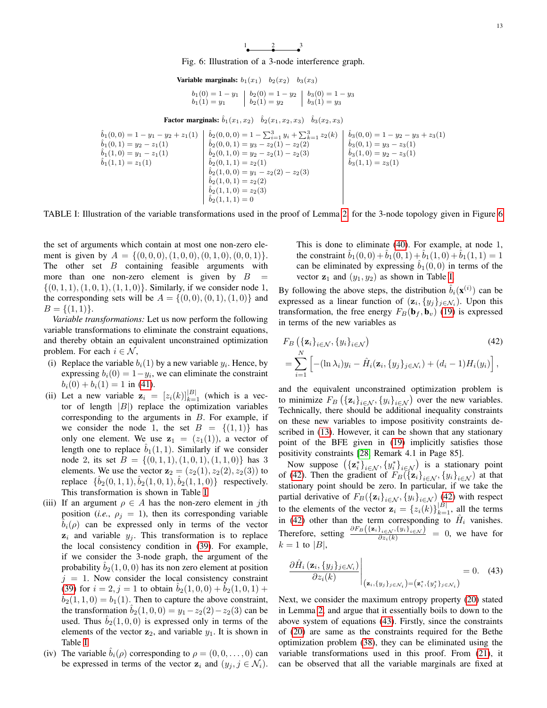1 2 3

Fig. 6: Illustration of a 3-node interference graph.

**Variable marginals:** 
$$
b_1(x_1) \quad b_2(x_2) \quad b_3(x_3)
$$

$$
b_1(0) = 1 - y_1 \mid b_2(0) = 1 - y_2 \mid b_3(0) = 1 - y_3b_1(1) = y_1 \mid b_2(1) = y_2 \mid b_3(1) = y_3
$$

**Factor marginals:**  $\hat{b}_1(x_1, x_2)$   $\hat{b}_2(x_1, x_2, x_3)$   $\hat{b}_3(x_2, x_3)$ 

<span id="page-12-1"></span><span id="page-12-0"></span>
$$
\hat{b}_1(0,0) = 1 - y_1 - y_2 + z_1(1) \n\hat{b}_1(0,1) = y_2 - z_1(1) \n\hat{b}_1(1,0) = y_1 - z_1(1) \n\hat{b}_2(0,0,1) = y_3 - z_2(1) - z_2(2) \n\hat{b}_1(1,1) = z_1(1) \n\hat{b}_2(0,1,0) = y_2 - z_2(1) - z_2(3) \n\hat{b}_2(0,1,1) = z_2(1) \n\hat{b}_2(0,1,1) = z_2(1) \n\hat{b}_2(0,1,1) = z_2(2) \n\hat{b}_2(1,0,0) = y_1 - z_2(2) - z_2(3) \n\hat{b}_2(1,1,0) = y_2(2) \n\hat{b}_2(1,1,1) = 0
$$
\n
$$
\hat{b}_2(1,1,1) = 0
$$
\n
$$
\hat{b}_2(1,1,1) = 0
$$
\n
$$
\hat{b}_2(1,1,1) = 0
$$
\n
$$
\hat{b}_2(1,1,1) = 0
$$

TABLE I: Illustration of the variable transformations used in the proof of Lemma [2,](#page-6-2) for the 3-node topology given in Figure [6](#page-12-0)

the set of arguments which contain at most one non-zero element is given by  $A = \{(0, 0, 0), (1, 0, 0), (0, 1, 0), (0, 0, 1)\}.$ The other set  $B$  containing feasible arguments with more than one non-zero element is given by  $B =$  $\{(0, 1, 1), (1, 0, 1), (1, 1, 0)\}.$  Similarly, if we consider node 1, the corresponding sets will be  $A = \{(0, 0), (0, 1), (1, 0)\}\)$  and  $B = \{(1, 1)\}.$ 

*Variable transformations:* Let us now perform the following variable transformations to eliminate the constraint equations, and thereby obtain an equivalent unconstrained optimization problem. For each  $i \in \mathcal{N}$ ,

- (i) Replace the variable  $b_i(1)$  by a new variable  $y_i$ . Hence, by expressing  $b_i(0) = 1 - y_i$ , we can eliminate the constraint  $b_i(0) + b_i(1) = 1$  in [\(41\)](#page-11-3).
- (ii) Let a new variable  $z_i = [z_i(k)]_{k=1}^{|B|}$  (which is a vector of length  $|B|$ ) replace the optimization variables corresponding to the arguments in  $B$ . For example, if we consider the node 1, the set  $B = \{(1,1)\}\)$  has only one element. We use  $z_1 = (z_1(1))$ , a vector of length one to replace  $b_1(1, 1)$ . Similarly if we consider node 2, its set  $B = \{(0, 1, 1), (1, 0, 1), (1, 1, 0)\}\$  has 3 elements. We use the vector  $z_2 = (z_2(1), z_2(2), z_2(3))$  to replace  $\{\hat{b}_2(0,1,1), \hat{b}_2(1,0,1), \hat{b}_2(1,1,0)\}$  respectively. This transformation is shown in Table [I.](#page-12-1)
- (iii) If an argument  $\rho \in A$  has the non-zero element in jth position (*i.e.*,  $\rho_i = 1$ ), then its corresponding variable  $b_i(\rho)$  can be expressed only in terms of the vector  $z_i$  and variable  $y_j$ . This transformation is to replace the local consistency condition in [\(39\)](#page-11-4). For example, if we consider the 3-node graph, the argument of the probability  $b_2(1, 0, 0)$  has its non zero element at position  $j = 1$ . Now consider the local consistency constraint [\(39\)](#page-11-4) for  $i = 2$ ,  $j = 1$  to obtain  $b_2(1, 0, 0) + b_2(1, 0, 1) +$  $b_2(1, 1, 0) = b_1(1)$ . Then to capture the above constraint, the transformation  $b_2(1, 0, 0) = y_1 - z_2(2) - z_2(3)$  can be used. Thus  $b_2(1, 0, 0)$  is expressed only in terms of the elements of the vector  $z_2$ , and variable  $y_1$ . It is shown in Table [I.](#page-12-1)
- (iv) The variable  $b_i(\rho)$  corresponding to  $\rho = (0, 0, \dots, 0)$  can be expressed in terms of the vector  $z_i$  and  $(y_i, j \in \mathcal{N}_i)$ .

This is done to eliminate [\(40\)](#page-11-5). For example, at node 1, the constraint  $\hat{b}_1(0, 0) + \hat{b}_1(0, 1) + \hat{b}_1(1, 0) + \hat{b}_1(1, 1) = 1$ can be eliminated by expressing  $\hat{b}_1(0,0)$  in terms of the vector  $z_1$  and  $(y_1, y_2)$  as shown in Table [I.](#page-12-1)

By following the above steps, the distribution  $\hat{b}_i(\mathbf{x}^{(i)})$  can be expressed as a linear function of  $(\mathbf{z}_i, \{y_j\}_{j \in \mathcal{N}_i})$ . Upon this transformation, the free energy  $F_B(\mathbf{b}_f, \mathbf{b}_v)$  [\(19\)](#page-6-1) is expressed in terms of the new variables as

<span id="page-12-2"></span>
$$
F_B\left(\{\mathbf{z}_i\}_{i\in\mathcal{N}}, \{y_i\}_{i\in\mathcal{N}}\right)
$$
\n
$$
=\sum_{i=1}^N\left[-(\ln\lambda_i)y_i-\hat{H}_i(\mathbf{z}_i,\{y_j\}_{j\in\mathcal{N}_i})+(d_i-1)H_i(y_i)\right],
$$
\n(42)

and the equivalent unconstrained optimization problem is to minimize  $F_B\left(\{\mathbf{z}_i\}_{i\in\mathcal{N}}, \{y_i\}_{i\in\mathcal{N}}\right)$  over the new variables. Technically, there should be additional inequality constraints on these new variables to impose positivity constraints described in [\(13\)](#page-5-0). However, it can be shown that any stationary point of the BFE given in [\(19\)](#page-6-1) implicitly satisfies those positivity constraints [\[28,](#page-15-0) Remark 4.1 in Page 85].

Now suppose  $({\{z_i^*\}_{i \in \mathcal{N}}, \{y_i^*\}_{i \in \mathcal{N}}})$  is a stationary point of [\(42\)](#page-12-2). Then the gradient of  $F_B(\{z_i\}_{i\in\mathcal{N}}, \{y_i\}_{i\in\mathcal{N}})$  at that stationary point should be zero. In particular, if we take the partial derivative of  $F_B(\{\mathbf{z}_i\}_{i \in \mathcal{N}}, \{y_i\}_{i \in \mathcal{N}})$  [\(42\)](#page-12-2) with respect to the elements of the vector  $\mathbf{z}_i = \{z_i(k)\}_{k=1}^{|B|}$ , all the terms in [\(42\)](#page-12-2) other than the term corresponding to  $\hat{H}_i$  vanishes. Therefore, setting  $\frac{\partial F_B(\{z_i\}_{i \in \mathcal{N}}, \{y_i\}_{i \in \mathcal{N}})}{\partial z_i(k)} = 0$ , we have for  $k = 1$  to  $|B|$ ,

<span id="page-12-3"></span>
$$
\frac{\partial \hat{H}_i(\mathbf{z}_i, \{y_j\}_{j \in \mathcal{N}_i})}{\partial z_i(k)}\Big|_{(\mathbf{z}_i, \{y_j\}_{j \in \mathcal{N}_i}) = (\mathbf{z}_i^*, \{y_j^*\}_{j \in \mathcal{N}_i})} = 0. \quad (43)
$$

Next, we consider the maximum entropy property [\(20\)](#page-6-4) stated in Lemma [2,](#page-6-2) and argue that it essentially boils to down to the above system of equations [\(43\)](#page-12-3). Firstly, since the constraints of [\(20\)](#page-6-4) are same as the constraints required for the Bethe optimization problem [\(38\)](#page-11-2), they can be eliminated using the variable transformations used in this proof. From [\(21\)](#page-6-9), it can be observed that all the variable marginals are fixed at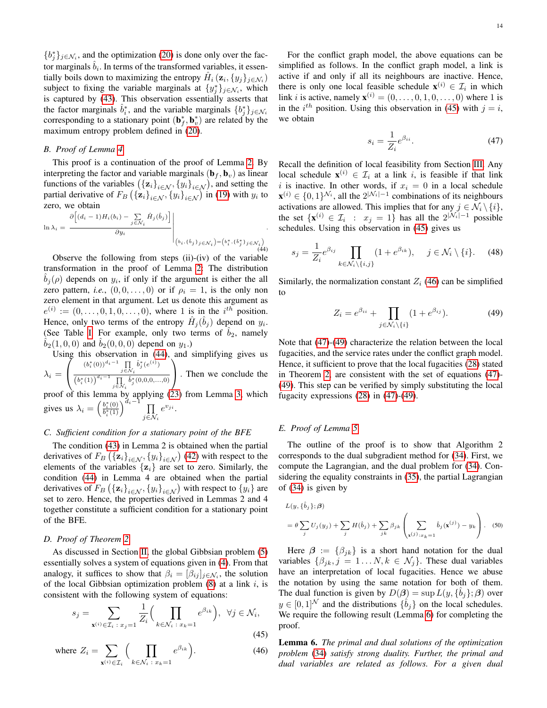${b_j^*}_{j \in \mathcal{N}_i}$ , and the optimization [\(20\)](#page-6-4) is done only over the factor marginals  $\hat{b}_i$ . In terms of the transformed variables, it essentially boils down to maximizing the entropy  $\hat{H}_i (\mathbf{z}_i, \{y_j\}_{j \in \mathcal{N}_i})$ subject to fixing the variable marginals at  $\{y_j^*\}_{j \in \mathcal{N}_i}$ , which is captured by [\(43\)](#page-12-3). This observation essentially asserts that the factor marginals  $\hat{b}_i^*$ , and the variable marginals  $\{b_j^*\}_{j \in \mathcal{N}_i}$ corresponding to a stationary point  $(\mathbf{b}_{f}^{*}, \mathbf{b}_{v}^{*})$  are related by the maximum entropy problem defined in [\(20\)](#page-6-4).

# <span id="page-13-0"></span>*B. Proof of Lemma [4](#page-6-3)*

This proof is a continuation of the proof of Lemma [2.](#page-6-2) By interpreting the factor and variable marginals ( $\mathbf{b}_f$ ,  $\mathbf{b}_v$ ) as linear functions of the variables  $({\{z_i\}}_{i \in \mathcal{N}}, {\{y_i\}}_{i \in \mathcal{N}})$ , and setting the partial derivative of  $F_B \left( {\{ \mathbf{z}_i \}}_{i \in \mathcal{N}}, {\{ y_i \}}_{i \in \mathcal{N}} \right)$  in [\(19\)](#page-6-1) with  $y_i$  to zero, we obtain

$$
\ln \lambda_i = \left. \frac{\partial \left[ (d_i - 1) H_i(b_i) - \sum_{j \in \mathcal{N}_i} \hat{H}_j(\hat{b}_j) \right]}{\partial y_i} \right|_{(b_i, \{\hat{b}_j\}_{j \in \mathcal{N}_i}) = (b_i^*, \{\hat{b}_j^*\}_{j \in \mathcal{N}_i})}
$$

Observe the following from steps (ii)-(iv) of the variable transformation in the proof of Lemma [2:](#page-6-2) The distribution  $\hat{b}_j(\rho)$  depends on  $y_i$ , if only if the argument is either the all zero pattern, *i.e.*,  $(0, 0, \ldots, 0)$  or if  $\rho_i = 1$ , is the only non zero element in that argument. Let us denote this argument as  $e^{(i)} := (0, \ldots, 0, 1, 0, \ldots, 0)$ , where 1 is in the  $i^{th}$  position. Hence, only two terms of the entropy  $\hat{H}_j(\hat{b}_j)$  depend on  $y_i$ . (See Table [I.](#page-12-1) For example, only two terms of  $b_2$ , namely  $b_2(1, 0, 0)$  and  $b_2(0, 0, 0)$  depend on  $y_1$ .)

Using this observation in [\(44\)](#page-13-4), and simplifying gives us  $\lambda_i =$  $\overline{I}$  $\mathcal{L}$  $(b_i^*(0))^{d_i-1} \prod_{j \in \mathcal{N}_i} \hat{b}_j^*(e^{(i)})$  $(b_i^*(1))^{d_i-1} \prod_{j \in \mathcal{N}_i} \hat{b}_j^*(0,0,0,...,0)$  $\setminus$  . Then we conclude the proof of this lemma by applying [\(23\)](#page-6-10) from Lemma [3,](#page-6-6) which gives us  $\lambda_i = \left(\frac{b_i^*(0)}{b_i^*(1)}\right)$  $\frac{b_i^*(0)}{b_i^*(1)}\right)^{d_i-1} \prod_{i \in \Lambda}$  $j\in\mathcal{N}_i$  $e^{v_{ji}}.$ 

#### <span id="page-13-1"></span>*C. Sufficient condition for a stationary point of the BFE*

The condition [\(43\)](#page-12-3) in Lemma 2 is obtained when the partial derivatives of  $F_B\left(\{\mathbf{z}_i\}_{i\in\mathcal{N}}, \{y_i\}_{i\in\mathcal{N}}\right)$  [\(42\)](#page-12-2) with respect to the elements of the variables  $\{z_i\}$  are set to zero. Similarly, the condition [\(44\)](#page-13-4) in Lemma 4 are obtained when the partial derivatives of  $F_B\left(\{\mathbf{z}_i\}_{i\in\mathcal{N}}, \{y_i\}_{i\in\mathcal{N}}\right)$  with respect to  $\{y_i\}$  are set to zero. Hence, the properties derived in Lemmas 2 and 4 together constitute a sufficient condition for a stationary point of the BFE.

#### <span id="page-13-2"></span>*D. Proof of Theorem [2](#page-7-7)*

As discussed in Section [II,](#page-2-4) the global Gibbsian problem [\(5\)](#page-2-1) essentially solves a system of equations given in [\(4\)](#page-2-0). From that analogy, it suffices to show that  $\beta_i = [\beta_{ij}]_{j \in \mathcal{N}_i}$ , the solution of the local Gibbsian optimization problem  $(8)$  at a link i, is consistent with the following system of equations:

$$
s_j = \sum_{\mathbf{x}^{(i)} \in \mathcal{I}_i \,:\, x_j = 1} \frac{1}{Z_i} \Big( \prod_{k \in \mathcal{N}_i \,:\, x_k = 1} e^{\beta_{ik}} \Big), \ \ \forall j \in \mathcal{N}_i,
$$
\n
$$
(45)
$$

where 
$$
Z_i = \sum_{\mathbf{x}^{(i)} \in \mathcal{I}_i} \Big( \prod_{k \in \mathcal{N}_i \,:\, x_k = 1} e^{\beta_{ik}} \Big).
$$
 (46)

For the conflict graph model, the above equations can be simplified as follows. In the conflict graph model, a link is active if and only if all its neighbours are inactive. Hence, there is only one local feasible schedule  $\mathbf{x}^{(i)} \in \mathcal{I}_i$  in which link *i* is active, namely  $\mathbf{x}^{(i)} = (0, \dots, 0, 1, 0, \dots, 0)$  where 1 is in the  $i^{th}$  position. Using this observation in [\(45\)](#page-13-5) with  $j = i$ , we obtain

<span id="page-13-7"></span>
$$
s_i = \frac{1}{Z_i} e^{\beta_{ii}}.\tag{47}
$$

Recall the definition of local feasibility from Section [III.](#page-3-0) Any local schedule  $\mathbf{x}^{(i)} \in \mathcal{I}_i$  at a link i, is feasible if that link i is inactive. In other words, if  $x_i = 0$  in a local schedule  $\mathbf{x}^{(i)} \in \{0,1\}^{\mathcal{N}_i}$ , all the  $2^{|\mathcal{N}_i|-1}$  combinations of its neighbours activations are allowed. This implies that for any  $j \in \mathcal{N}_i \setminus \{i\},$ the set  $\{x^{(i)} \in \mathcal{I}_i : x_j = 1\}$  has all the  $2^{|\mathcal{N}_i| - 1}$  possible schedules. Using this observation in [\(45\)](#page-13-5) gives us

<span id="page-13-4"></span>
$$
s_j = \frac{1}{Z_i} e^{\beta_{ij}} \prod_{k \in \mathcal{N}_i \setminus \{i,j\}} (1 + e^{\beta_{ik}}), \quad j \in \mathcal{N}_i \setminus \{i\}.
$$
 (48)

Similarly, the normalization constant  $Z_i$  [\(46\)](#page-13-6) can be simplified to

<span id="page-13-8"></span>
$$
Z_i = e^{\beta_{ii}} + \prod_{j \in \mathcal{N}_i \setminus \{i\}} (1 + e^{\beta_{ij}}). \tag{49}
$$

Note that [\(47\)](#page-13-7)-[\(49\)](#page-13-8) characterize the relation between the local fugacities, and the service rates under the conflict graph model. Hence, it sufficient to prove that the local fugacities [\(28\)](#page-7-5) stated in Theorem [2,](#page-7-7) are consistent with the set of equations [\(47\)](#page-13-7)- [\(49\)](#page-13-8). This step can be verified by simply substituting the local fugacity expressions [\(28\)](#page-7-5) in [\(47\)](#page-13-7)-[\(49\)](#page-13-8).

# <span id="page-13-3"></span>*E. Proof of Lemma [5](#page-9-7)*

The outline of the proof is to show that Algorithm 2 corresponds to the dual subgradient method for [\(34\)](#page-9-2). First, we compute the Lagrangian, and the dual problem for [\(34\)](#page-9-2). Considering the equality constraints in [\(35\)](#page-9-8), the partial Lagrangian of [\(34\)](#page-9-2) is given by

<span id="page-13-10"></span>
$$
L(y, {\hat{b}_j}; \beta)
$$
  
=  $\theta \sum_j U_j(y_j) + \sum_j H(\hat{b}_j) + \sum_{jk} \beta_{jk} \left( \sum_{\mathbf{x}(j): x_k = 1} \hat{b}_j(\mathbf{x}^{(j)}) - y_k \right)$ . (50)

Here  $\beta := {\beta_{jk}}$  is a short hand notation for the dual variables  $\{\beta_{jk}, j = 1...N, k \in \mathcal{N}_j\}$ . These dual variables have an interpretation of local fugacities. Hence we abuse the notation by using the same notation for both of them. The dual function is given by  $D(\beta) = \sup L(y, {\hat{b}_j}; \beta)$  over  $y \in [0,1]^{\mathcal{N}}$  and the distributions  $\{\hat{b}_j\}$  on the local schedules. We require the following result (Lemma [6\)](#page-13-9) for completing the proof.

<span id="page-13-9"></span><span id="page-13-6"></span><span id="page-13-5"></span>Lemma 6. *The primal and dual solutions of the optimization problem* [\(34\)](#page-9-2) *satisfy strong duality. Further, the primal and dual variables are related as follows. For a given dual*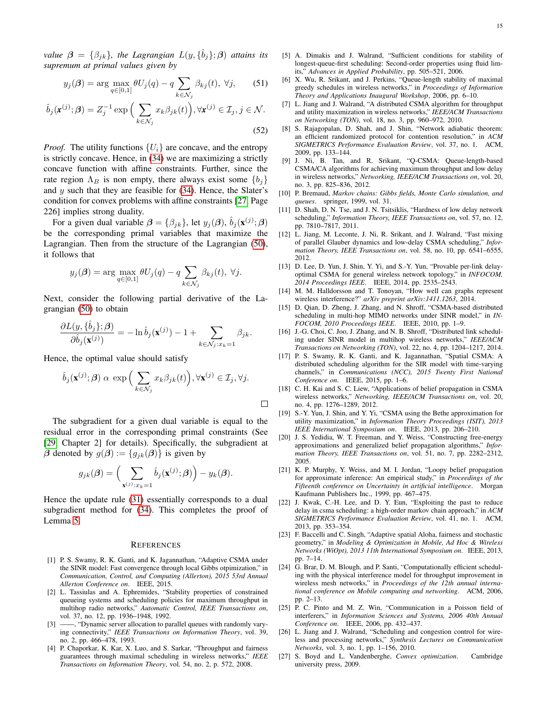*value*  $\boldsymbol{\beta} = \{\beta_{jk}\},\$  the Lagrangian  $L(y, {\hat{b}_j}; \boldsymbol{\beta})$  attains its *supremum at primal values given by*

$$
y_j(\boldsymbol{\beta}) = \arg \max_{q \in [0,1]} \theta U_j(q) - q \sum_{k \in \mathcal{N}_j} \beta_{kj}(t), \ \forall j,
$$
 (51)

$$
\hat{b}_j(\mathbf{x}^{(j)};\boldsymbol{\beta}) = Z_j^{-1} \exp\Big(\sum_{k \in \mathcal{N}_j} x_k \beta_{jk}(t)\Big), \forall \mathbf{x}^{(j)} \in \mathcal{I}_j, j \in \mathcal{N}.\tag{52}
$$

*Proof.* The utility functions  $\{U_i\}$  are concave, and the entropy is strictly concave. Hence, in [\(34\)](#page-9-2) we are maximizing a strictly concave function with affine constraints. Further, since the rate region  $\Lambda_B$  is non empty, there always exist some  $\{b_i\}$ and  $y$  such that they are feasible for  $(34)$ . Hence, the Slater's condition for convex problems with affine constraints [\[27,](#page-14-24) Page 226] implies strong duality.

For a given dual variable  $\beta = {\beta_{jk}}$ , let  $y_j(\beta)$ ,  $\hat{b}_j(\mathbf{x}^{(j)};\beta)$ be the corresponding primal variables that maximize the Lagrangian. Then from the structure of the Lagrangian [\(50\)](#page-13-10), it follows that

$$
y_j(\boldsymbol{\beta}) = \arg \max_{q \in [0,1]} \theta U_j(q) - q \sum_{k \in \mathcal{N}_j} \beta_{kj}(t), \ \forall j.
$$

Next, consider the following partial derivative of the Lagrangian [\(50\)](#page-13-10) to obtain

$$
\frac{\partial L(y,\{\hat{b}_j\};\pmb{\beta})}{\partial \hat{b}_j(\mathbf{x}^{(j)})} = -\ln \hat{b}_j(\mathbf{x}^{(j)}) - 1 + \sum_{k \in \mathcal{N}_j: x_k = 1} \beta_{jk}.
$$

Hence, the optimal value should satisfy

$$
\hat{b}_j(\mathbf{x}^{(j)};\boldsymbol{\beta}) \alpha \exp\Big(\sum_{k \in \mathcal{N}_j} x_k \beta_{jk}(t)\Big), \forall \mathbf{x}^{(j)} \in \mathcal{I}_j, \forall j.
$$

The subgradient for a given dual variable is equal to the residual error in the corresponding primal constraints (See [\[29,](#page-15-1) Chapter 2] for details). Specifically, the subgradient at  $\beta$  denoted by  $g(\beta) := \{g_{jk}(\beta)\}\$ is given by

$$
g_{jk}(\boldsymbol{\beta}) = \Big(\sum_{\mathbf{x}^{(j)}:x_k=1} \hat{b}_j(\mathbf{x}^{(j)};\boldsymbol{\beta})\Big) - y_k(\boldsymbol{\beta}).
$$

Hence the update rule [\(31\)](#page-8-3) essentially corresponds to a dual subgradient method for [\(34\)](#page-9-2). This completes the proof of Lemma [5.](#page-9-7)

#### **REFERENCES**

- <span id="page-14-6"></span>[1] P. S. Swamy, R. K. Ganti, and K. Jagannathan, "Adaptive CSMA under the SINR model: Fast convergence through local Gibbs otpimization," in *Communication, Control, and Computing (Allerton), 2015 53rd Annual Allerton Conference on*. IEEE, 2015.
- <span id="page-14-0"></span>[2] L. Tassiulas and A. Ephremides, "Stability properties of constrained queueing systems and scheduling policies for maximum throughput in multihop radio networks," *Automatic Control, IEEE Transactions on*, vol. 37, no. 12, pp. 1936–1948, 1992.
- <span id="page-14-1"></span>[3] ——, "Dynamic server allocation to parallel queues with randomly varying connectivity," *IEEE Transactions on Information Theory*, vol. 39, no. 2, pp. 466–478, 1993.
- <span id="page-14-2"></span>[4] P. Chaporkar, K. Kar, X. Luo, and S. Sarkar, "Throughput and fairness guarantees through maximal scheduling in wireless networks," *IEEE Transactions on Information Theory*, vol. 54, no. 2, p. 572, 2008.
- [5] A. Dimakis and J. Walrand, "Sufficient conditions for stability of longest-queue-first scheduling: Second-order properties using fluid limits," *Advances in Applied Probability*, pp. 505–521, 2006.
- <span id="page-14-3"></span>[6] X. Wu, R. Srikant, and J. Perkins, "Queue-length stability of maximal greedy schedules in wireless networks," in *Proceedings of Information Theory and Applications Inaugural Workshop*, 2006, pp. 6–10.
- <span id="page-14-4"></span>[7] L. Jiang and J. Walrand, "A distributed CSMA algorithm for throughput and utility maximization in wireless networks," *IEEE/ACM Transactions on Networking (TON)*, vol. 18, no. 3, pp. 960–972, 2010.
- [8] S. Rajagopalan, D. Shah, and J. Shin, "Network adiabatic theorem: an efficient randomized protocol for contention resolution," in *ACM SIGMETRICS Performance Evaluation Review*, vol. 37, no. 1. ACM, 2009, pp. 133–144.
- <span id="page-14-5"></span>[9] J. Ni, B. Tan, and R. Srikant, "Q-CSMA: Queue-length-based CSMA/CA algorithms for achieving maximum throughput and low delay in wireless networks," *Networking, IEEE/ACM Transactions on*, vol. 20, no. 3, pp. 825–836, 2012.
- <span id="page-14-7"></span>[10] P. Bremaud, *Markov chains: Gibbs fields, Monte Carlo simulation, and queues*. springer, 1999, vol. 31.
- <span id="page-14-8"></span>[11] D. Shah, D. N. Tse, and J. N. Tsitsiklis, "Hardness of low delay network scheduling," *Information Theory, IEEE Transactions on*, vol. 57, no. 12, pp. 7810–7817, 2011.
- <span id="page-14-9"></span>[12] L. Jiang, M. Leconte, J. Ni, R. Srikant, and J. Walrand, "Fast mixing of parallel Glauber dynamics and low-delay CSMA scheduling," *Information Theory, IEEE Transactions on*, vol. 58, no. 10, pp. 6541–6555, 2012.
- <span id="page-14-10"></span>[13] D. Lee, D. Yun, J. Shin, Y. Yi, and S.-Y. Yun, "Provable per-link delayoptimal CSMA for general wireless network topology," in *INFOCOM, 2014 Proceedings IEEE*. IEEE, 2014, pp. 2535–2543.
- <span id="page-14-11"></span>[14] M. M. Halldorsson and T. Tonoyan, "How well can graphs represent wireless interference?" *arXiv preprint arXiv:1411.1263*, 2014.
- <span id="page-14-12"></span>[15] D. Qian, D. Zheng, J. Zhang, and N. Shroff, "CSMA-based distributed scheduling in multi-hop MIMO networks under SINR model," in *IN-FOCOM, 2010 Proceedings IEEE*. IEEE, 2010, pp. 1–9.
- <span id="page-14-13"></span>[16] J.-G. Choi, C. Joo, J. Zhang, and N. B. Shroff, "Distributed link scheduling under SINR model in multihop wireless networks," *IEEE/ACM Transactions on Networking (TON)*, vol. 22, no. 4, pp. 1204–1217, 2014.
- <span id="page-14-14"></span>[17] P. S. Swamy, R. K. Ganti, and K. Jagannathan, "Spatial CSMA: A distributed scheduling algorithm for the SIR model with time-varying channels," in *Communications (NCC), 2015 Twenty First National Conference on*. IEEE, 2015, pp. 1–6.
- <span id="page-14-15"></span>[18] C. H. Kai and S. C. Liew, "Applications of belief propagation in CSMA wireless networks," *Networking, IEEE/ACM Transactions on*, vol. 20, no. 4, pp. 1276–1289, 2012.
- <span id="page-14-16"></span>[19] S.-Y. Yun, J. Shin, and Y. Yi, "CSMA using the Bethe approximation for utility maximization," in *Information Theory Proceedings (ISIT), 2013 IEEE International Symposium on*. IEEE, 2013, pp. 206–210.
- <span id="page-14-17"></span>[20] J. S. Yedidia, W. T. Freeman, and Y. Weiss, "Constructing free-energy approximations and generalized belief propagation algorithms," *Information Theory, IEEE Transactions on*, vol. 51, no. 7, pp. 2282–2312, 2005.
- <span id="page-14-18"></span>[21] K. P. Murphy, Y. Weiss, and M. I. Jordan, "Loopy belief propagation for approximate inference: An empirical study," in *Proceedings of the Fifteenth conference on Uncertainty in artificial intelligence*. Morgan Kaufmann Publishers Inc., 1999, pp. 467–475.
- <span id="page-14-19"></span>[22] J. Kwak, C.-H. Lee, and D. Y. Eun, "Exploiting the past to reduce delay in csma scheduling: a high-order markov chain approach," in *ACM SIGMETRICS Performance Evaluation Review*, vol. 41, no. 1. ACM, 2013, pp. 353–354.
- <span id="page-14-20"></span>[23] F. Baccelli and C. Singh, "Adaptive spatial Aloha, fairness and stochastic geometry," in *Modeling & Optimization in Mobile, Ad Hoc & Wireless Networks (WiOpt), 2013 11th International Symposium on*. IEEE, 2013, pp. 7–14.
- <span id="page-14-21"></span>[24] G. Brar, D. M. Blough, and P. Santi, "Computationally efficient scheduling with the physical interference model for throughput improvement in wireless mesh networks," in *Proceedings of the 12th annual international conference on Mobile computing and networking*. ACM, 2006, pp. 2–13.
- <span id="page-14-22"></span>[25] P. C. Pinto and M. Z. Win, "Communication in a Poisson field of interferers," in *Information Sciences and Systems, 2006 40th Annual Conference on*. IEEE, 2006, pp. 432–437.
- <span id="page-14-23"></span>[26] L. Jiang and J. Walrand, "Scheduling and congestion control for wireless and processing networks," *Synthesis Lectures on Communication Networks*, vol. 3, no. 1, pp. 1–156, 2010.
- <span id="page-14-24"></span>[27] S. Boyd and L. Vandenberghe, *Convex optimization*. Cambridge university press, 2009.